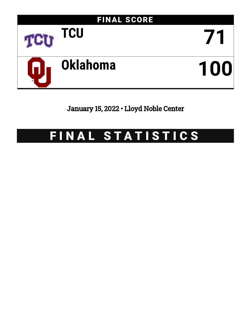

January 15, 2022 • Lloyd Noble Center

# FINAL STATISTICS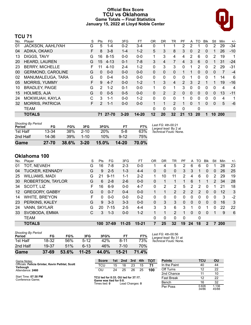# **Official Box Score TCU vs Oklahoma Game Totals -- Final Statistics January 15, 2022 at Lloyd Noble Center**



# **TCU 71**

| No. | Plaver                   | S  | Pts           | FG       | 3FG      | FT        | 0R | DR.          | TR             | РF             | A        | то | Blk      | Stl      | Min | $+/-$ |
|-----|--------------------------|----|---------------|----------|----------|-----------|----|--------------|----------------|----------------|----------|----|----------|----------|-----|-------|
| 01  | JACKSON, AAHLIYAH        | G  | 5             | 1-4      | $0 - 2$  | $3 - 4$   | 0  | 4            |                | 2              | 2        |    |          | 2        | 29  | $-34$ |
| 04  | ADIKA, OKAKO             | F. | 8             | $3 - 8$  | $1 - 4$  | $1 - 2$   | 5  | 3            | 8              | 3              | $\Omega$ | 2  | $\Omega$ |          | 26  | $-10$ |
| 13  | DIGGS, TAVY              | G  | 16            | $8 - 15$ | $0 - 0$  | $0 - 0$   | 1  | 3            | 4              | 4              | 2        | 6  | 0        | 2        | 19  | 1     |
| 20  | HEARD, LAUREN            | G  | 15            | $4 - 13$ | $0 - 1$  | $7 - 8$   | 3  | 4            | 7              | 4              | 3        | 6  | $\Omega$ |          | 31  | $-24$ |
| 23  | <b>BERRY, MICHELLE</b>   | F. |               | $4 - 10$ | $2 - 4$  | $1 - 2$   | 0  | 3            | 3              | $\Omega$       | 1        | 2  | 0        | 2        | 29  | -31   |
| 00  | <b>GERMOND, CAROLINE</b> | G  | $\Omega$      | $0 - 0$  | $0 - 0$  | $0 - 0$   | 0  | $\Omega$     | $\Omega$       |                |          | 0  | $\Omega$ | 0        | 7   | $-4$  |
| 02  | MANUMALEUGA, TARA        | G  | 0             | $0 - 4$  | $0 - 3$  | $0-0$     | 0  | $\mathbf{0}$ | 0              | 0              |          | 0  | 0        | 1        | 14  | 6     |
| 05  | <b>MORRIS, YUMMY</b>     | F  | 9             | $4 - 7$  | $0 - 0$  | $1 - 2$   |    | 3            | 4              | $\overline{2}$ | 3        | 2  |          |          | 19  | $-16$ |
| 10  | <b>BRADLEY, PAIGE</b>    | G  | 2             | $1 - 2$  | $0 - 1$  | $0 - 0$   | 1  | 0            | 1              | 3              | 0        | 0  | 0        | 0        | 4   | 4     |
| 15  | <b>HOLMES, AJA</b>       | G  | $\Omega$      | $0 - 5$  | $0 - 5$  | $0 - 0$   | 0  | 2            | 2              | 0              | 0        | 0  | $\Omega$ | 0        | 13  | $-11$ |
| 24  | MOKWUAH, KAYLA           | C  | 3             | $1 - 1$  | $0 - 0$  | $1 - 2$   | 0  | $\Omega$     | 0              | 1              | 0        | 0  | 0        | $\Omega$ | 4   | 1     |
| 32  | <b>MORRIS, PATRICIA</b>  | F. | $\mathcal{P}$ | $1 - 1$  | $0 - 0$  | $0 - 0$   |    | 1            | $\overline{2}$ |                | 0        |    | $\Omega$ | $\Omega$ | 5   | $-6$  |
|     | TEAM                     |    |               |          |          |           | 0  | $\mathbf{0}$ | 0              | $\Omega$       |          | 0  |          |          |     |       |
|     | <b>TOTALS</b>            |    | 71            | 27-70    | $3 - 20$ | $14 - 20$ | 12 | 20           | 32             | 21             | 13       | 20 |          | 10       | 200 |       |

| Game                                | $27 - 70$ | 38.6% | $3 - 20$ | 15.0%      | $14 - 20$ | 70.0% |                                             |
|-------------------------------------|-----------|-------|----------|------------|-----------|-------|---------------------------------------------|
| 2nd Half                            | 14-36     | 39%   | $1 - 10$ | 10%        | $9 - 12$  | 75%   |                                             |
| 1st Half                            | 13-34     | 38%   | $2 - 10$ | <b>20%</b> | $5-8$     | 63%   | Technical Fouls: None.                      |
| <b>Shooting By Period</b><br>Period | FG        | FG%   | 3FG      | 3FG%       | FT        | FT%   | Last FG: 4th-00:21<br>Largest lead: By 2 at |

# **Oklahoma 100**

| No. | Player                 | S  | <b>Pts</b> | FG.      | 3FG       | FT.       | ΟR           | DR | TR             | РF            | A  | TO       | <b>B</b> lk | Stl      | Min | $+/-$ |
|-----|------------------------|----|------------|----------|-----------|-----------|--------------|----|----------------|---------------|----|----------|-------------|----------|-----|-------|
| 01  | TOT, NEVAEH            | G  | 16         | 7-8      | 2-3       | $0 - 0$   |              | 4  | 5              | 2             | 6  | 6        | 0           |          | 28  | 23    |
| 04  | <b>TUCKER, KENNADY</b> | G  | 9          | $2 - 5$  | $1 - 3$   | $4 - 4$   | 0            | 0  | 0              | 3             | 3  |          | 0           | 0        | 26  | 25    |
| 25  | WILLIAMS, MADI         | G  | 21         | $9 - 11$ | 1-1       | $2 - 2$   |              | 10 | 11             | $\mathcal{P}$ | 4  | 6        | 0           | 2        | 29  | 19    |
| 30  | ROBERTSON, TAYLOR      | G  | 6          | $2 - 8$  | $2-6$     | $0 - 0$   | 0            |    |                |               | 6  |          |             | 2        | 34  | 28    |
| 34  | SCOTT, LIZ             | F. | 16         | $6-9$    | $0 - 0$   | $4 - 7$   | 0            | 2  | $\overline{2}$ | 5             | 2  | 2        | 0           |          | 21  | 18    |
| 12  | <b>GREGORY, GABBY</b>  | G  | 0          | $0 - 7$  | $0 - 4$   | $0 - 0$   | $\mathbf{1}$ | 1  | $\overline{2}$ | 2             | 2  | 2        | $\Omega$    | 0        | 12  | 3     |
| 14  | <b>WHITE, BRE'YON</b>  | F  | 0          | $0 - 0$  | $0 - 0$   | $0 - 2$   | 0            | 0  | 0              | 0             | 0  | 0        | 0           | $\Omega$ | 3   | $-2$  |
| 23  | PERKINS, KALEY         | G  | 9          | $3 - 3$  | $3 - 3$   | $0 - 0$   | 0            | 3  | 3              | 0             | 0  | $\Omega$ | 0           | 0        | 16  | 3     |
| 24  | VANN, SKYLAR           | G  | 20         | $7 - 15$ | $2 - 5$   | $4 - 4$   | 3            | 3  | 6              | 3             |    | 0        |             | n        | 22  | 22    |
| 33  | SVOBODA, EMMA          | С  | 3.         | $1 - 3$  | $0 - 0$   | $1 - 2$   |              | 1  | $\overline{2}$ |               | 0  | 0        | 0           |          | 9   | 6     |
|     | <b>TEAM</b>            |    |            |          |           |           | 0            | 0  | 0              | $\mathbf{0}$  |    | 0        |             |          |     |       |
|     | <b>TOTALS</b>          |    | 100        | 37-69    | $11 - 25$ | $15 - 21$ | 7            | 25 | 32             | 19            | 24 | 18       | $\bf{2}$    |          | 200 |       |
|     |                        |    |            |          |           |           |              |    |                |               |    |          |             |          |     |       |

| Game                                | $37-69$ | 53.6% | $11 - 25$ | 44.0% | 15-21 | 71.4% |   |
|-------------------------------------|---------|-------|-----------|-------|-------|-------|---|
| 2nd Half                            | 19-37   | 51%   | 6-13      | 46%   | 7-10  | 70%   |   |
| 1st Half                            | 18-32   | 56%   | $5-12$    | 42%   | 8-11  | 73%   | T |
| <b>Shooting By Period</b><br>Period | FG      | FG%   | 3FG       | 3FG%  | FT    | FT%   |   |

*Last FG:* 4th-00:56 *Largest lead:* By 31 at *Technical Fouls:* None.

| Game Notes:                                                  | <b>Score</b>                                   | 1st l | 2nd             | 3rd | 4th | <b>TOT</b> | <b>Points</b>     | TCU            | OU             |
|--------------------------------------------------------------|------------------------------------------------|-------|-----------------|-----|-----|------------|-------------------|----------------|----------------|
| Officials: Felicia Grinter, Kevin Pethtel, Scott<br>Yarbough | тси                                            | 15    | 18              | 23  | 15  | 71         | In the Paint      | 40             | 44             |
| Attendance: 2460                                             | OU                                             | 24    | 25              | 26  | 25  | 100        | Off Turns         |                | 22             |
|                                                              |                                                |       |                 |     |     |            | 2nd Chance        |                | 10             |
| Start Time: 07:30 PM<br>Conference Game:                     | TCU led for 0:33, OU led for 37:17.            |       |                 |     |     |            | <b>Fast Break</b> |                | 22             |
|                                                              | Game was tied for 0:0.<br>Times tied: <b>0</b> |       | Lead Changes: 0 |     |     |            | Bench             | 16             | 32             |
|                                                              |                                                |       |                 |     |     |            | Per Poss          | 0.826<br>34/86 | 1.136<br>45/88 |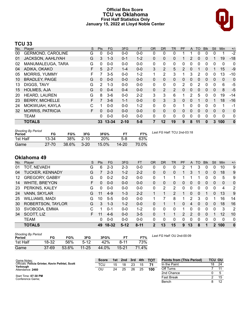### **Official Box Score TCU vs Oklahoma First Half Statistics Only January 15, 2022 at Lloyd Noble Center**



# **TCU 33**

| No. | Player                   | S  | <b>Pts</b> | <b>FG</b> | 3FG      | <b>FT</b> | 0R | <b>DR</b> | <b>TR</b>      | <b>PF</b>      | A | TO       | <b>BIK</b>   | Stl      | <b>Min</b>   | $+/-$        |
|-----|--------------------------|----|------------|-----------|----------|-----------|----|-----------|----------------|----------------|---|----------|--------------|----------|--------------|--------------|
| 00  | <b>GERMOND, CAROLINE</b> | G  | 0          | $0-0$     | $0 - 0$  | $0 - 0$   | 0  | 0         | 0              |                |   | 0        | 0            | 0        | 1            | $-2$         |
| 01  | <b>JACKSON, AAHLIYAH</b> | G  | 3          | $1 - 3$   | $0 - 1$  | $1 - 2$   | 0  | 0         | 0              |                | 2 | 0        | 0            |          | 19           | $-18$        |
| 02  | MANUMALEUGA, TARA        | G  | 0          | $0 - 0$   | $0 - 0$  | $0 - 0$   | 0  | 0         | 0              | 0              | 0 | 0        | 0            | 0        | 0            | $\mathbf{0}$ |
| 04  | ADIKA, OKAKO             | F  | 5          | $2 - 7$   | $1 - 4$  | $0 - 0$   | 3  | 2         | 5              | $\overline{2}$ | 0 |          | 0            |          | 15           | -9           |
| 05  | <b>MORRIS, YUMMY</b>     | F  |            | 3-5       | $0 - 0$  | $1 - 2$   |    | 2         | 3              |                | 3 | 2        | 0            | 0        | 13           | $-10$        |
| 10  | <b>BRADLEY, PAIGE</b>    | G  | $\Omega$   | $0 - 0$   | $0 - 0$  | $0 - 0$   | 0  | 0         | 0              | 0              | 0 | 0        | 0            | 0        | $\mathbf{0}$ | 0            |
| 13  | DIGGS, TAVY              | G  | 2          | $1 - 3$   | $0 - 0$  | $0 - 0$   | 0  | 0         | 0              | 2              | 0 | 2        | $\Omega$     | 0        | 6            | -5           |
| 15  | <b>HOLMES, AJA</b>       | G  | $\Omega$   | $0 - 4$   | $0 - 4$  | $0 - 0$   | 0  | 2         | $\overline{2}$ | 0              | 0 | 0        | $\Omega$     | 0        | 8            | $-5$         |
| 20  | <b>HEARD, LAUREN</b>     | G  | 8          | $3-6$     | $0 - 0$  | $2 - 2$   | 3  | 3         | 6              | 1              | 2 | 5        | 0            | 0        | 19           | -14          |
| 23  | <b>BERRY, MICHELLE</b>   | F  |            | $3-6$     | $1 - 1$  | $0 - 0$   | 0  | 3         | 3              | 0              | 0 |          | $\mathbf{0}$ |          | 18           | $-16$        |
| 24  | MOKWUAH, KAYLA           | C  |            | $0 - 0$   | $0 - 0$  | $1 - 2$   | 0  | 0         | 0              | 1              | 0 | 0        | 0            | 0        | 1            | -1           |
| 32  | <b>MORRIS, PATRICIA</b>  | F. | $\Omega$   | $0 - 0$   | $0 - 0$  | $0 - 0$   | 0  | $\Omega$  | $\Omega$       | 0              | 0 | 0        | 0            | $\Omega$ | $\Omega$     | 0            |
|     | <b>TEAM</b>              |    | 0          | $0 - 0$   | $0 - 0$  | $0 - 0$   | 0  | 0         | 0              | 0              | 0 | $\Omega$ | 0            | 0        | $\mathbf 0$  | 0            |
|     | <b>TOTALS</b>            |    | 33         | $13 - 34$ | $2 - 10$ | $5 - 8$   | 7  | 12        | 19             | 9              | 8 | 11       | $\Omega$     | 3        | 100          | $\bf{0}$     |

| <b>Shooting By Period</b> |           |       |          |            |           |       |
|---------------------------|-----------|-------|----------|------------|-----------|-------|
| Period                    | FG        | FG%   | 3FG      | 3FG%       |           | FT%   |
| 1st Half                  | 13-34     | 38%   | $2 - 10$ | <b>20%</b> | 5-8       | 63%   |
| Game                      | $27 - 70$ | 38.6% | $3 - 20$ | 15.0%      | $14 - 20$ | 70.0% |

*Last FG Half:* TCU 2nd-03:18

# **Oklahoma 49**

| No. | Plaver                 | S  | Pts      | FG        | 3FG      | <b>FT</b> | <b>OR</b> | <b>DR</b> | TR | PF            | A        | TO. | <b>Blk</b> | Stl          | Min      | $+/-$          |
|-----|------------------------|----|----------|-----------|----------|-----------|-----------|-----------|----|---------------|----------|-----|------------|--------------|----------|----------------|
| 01  | TOT, NEVAEH            | G  | 6        | $2 - 3$   | $2 - 3$  | $0 - 0$   | 0         | 0         | 0  | 2             |          | 3.  | 0          | 0            | 10       | 9              |
| 04  | <b>TUCKER, KENNADY</b> | G  |          | $2 - 3$   | $1 - 2$  | $2 - 2$   | 0         | 0         | 0  |               | 3        |     | 0          | 0            | 18       | 9              |
| 12  | <b>GREGORY, GABBY</b>  | G  | 0        | $0 - 2$   | $0 - 2$  | $0 - 0$   | 0         | 4         |    |               |          |     | 0          | 0            | 5        | 9              |
| 14  | <b>WHITE, BRE'YON</b>  | F. | $\Omega$ | $0 - 0$   | $0 - 0$  | $0 - 0$   | 0         | 0         | 0  | $\Omega$      | 0        | 0   | 0          | 0            | $\Omega$ | $\mathbf 0$    |
| 23  | PERKINS, KALEY         | G  | 0        | $0 - 0$   | $0 - 0$  | $0 - 0$   | 0         | 2         | 2  | 0             | 0        | 0   | 0          | 0            | 4        | $\overline{2}$ |
| 24  | VANN, SKYLAR           | G  | 11       | $4 - 9$   | $1 - 3$  | $2 - 2$   |           | 1         | 2  | 1             | $\Omega$ | 0   | 1          | 0            | 13       | 9              |
| 25  | WILLIAMS, MADI         | G  | 10       | $5 - 5$   | $0 - 0$  | $0 - 0$   |           |           | 8  |               | 2        | 3   | 0          |              | 16       | 14             |
| 30  | ROBERTSON, TAYLOR      | G  | 3        | $1 - 3$   | $1 - 2$  | $0 - 0$   | 0         |           |    | $\Omega$      | 4        | 0   | $\Omega$   | 0            | 18       | 16             |
| 33  | SVOBODA, EMMA          | C  |          | $0 - 1$   | $0 - 0$  | $1 - 2$   | 0         | $\Omega$  | 0  |               | 0        | 0   | 0          | 0            | 3        | 2              |
| 34  | SCOTT, LIZ             | F. | 11       | $4-6$     | $0 - 0$  | $3 - 5$   | 0         | 1         |    | $\mathcal{P}$ | 2        | 0   | $\Omega$   |              | 12       | 10             |
|     | <b>TEAM</b>            |    | 0        | $0 - 0$   | $0 - 0$  | $0 - 0$   | 0         | $\Omega$  | 0  | 0             | 0        |     | 0          | 0            | 0        | $\mathbf 0$    |
|     | <b>TOTALS</b>          |    | 49       | $18 - 32$ | $5 - 12$ | $8 - 11$  | 2         | 13        | 15 | 9             | 13       | 8   | 1          | $\mathbf{p}$ | 100      | $\mathbf{0}$   |

| <b>Shooting By Period</b> |         |       |           |       |       |       |
|---------------------------|---------|-------|-----------|-------|-------|-------|
| Period                    | FG      | FG%   | 3FG       | 3FG%  | FТ    | FT%   |
| 1st Half                  | 18-32   | 56%   | $5-12$    | 42%   | 8-11  | 73%   |
| Game                      | $37-69$ | 53.6% | $11 - 25$ | 44.0% | 15-21 | 71.4% |

*Last FG Half:* OU 2nd-00:09

| Game Notes:                                                  | <b>Score</b> | 1st. | 2 <sub>nd</sub> | 3rd | 4th | <b>TOT</b> | <b>Points from (This Period)</b> | <b>TCU OU</b> |    |
|--------------------------------------------------------------|--------------|------|-----------------|-----|-----|------------|----------------------------------|---------------|----|
| Officials: Felicia Grinter, Kevin Pethtel, Scott<br>Yarbough | TCU          | 15   | 18              | 23  | 15  |            | In the Paint                     | 18            | 24 |
| Attendance: 2460                                             | ΟU           | 24   | 25              | 26  | 25  | 100        | Off Turns                        |               |    |
|                                                              |              |      |                 |     |     |            | 2nd Chance                       |               |    |
| Start Time: 07:30 PM<br>Conference Game:                     |              |      |                 |     |     |            | <b>Fast Break</b>                |               | 15 |
|                                                              |              |      |                 |     |     |            | Bench                            |               | 12 |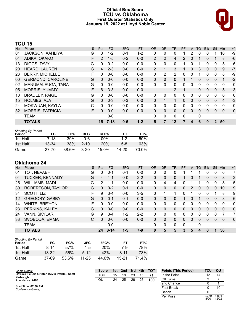### **Official Box Score TCU vs Oklahoma First Quarter Statistics Only January 15, 2022 at Lloyd Noble Center**



# **TCU 15**

| No. | Plaver                   | S | <b>Pts</b>   | <b>FG</b> | 3FG     | <b>FT</b> | <b>OR</b>      | <b>DR</b> | <b>TR</b>      | PF             | A            | TO           | <b>Blk</b> | <b>Stl</b>   | Min      | $+/-$        |
|-----|--------------------------|---|--------------|-----------|---------|-----------|----------------|-----------|----------------|----------------|--------------|--------------|------------|--------------|----------|--------------|
| 01  | <b>JACKSON, AAHLIYAH</b> | G | 3            | $1 - 2$   | $0 - 1$ | $1 - 2$   | 0              | 0         | 0              |                | 2            | 0            | 0          |              | 10       | -9           |
| 04  | ADIKA, OKAKO             | F | 2            | $1 - 5$   | $0 - 2$ | $0 - 0$   | $\overline{2}$ | 2         | 4              | $\overline{2}$ | 0            |              | 0          |              | 8        | $-6$         |
| 13  | DIGGS, TAVY              | G | 0            | $0 - 2$   | $0 - 0$ | $0-0$     | $\Omega$       | 0         | 0              |                | 0            |              | 0          | 0            | 5        | -6           |
| 20  | <b>HEARD, LAUREN</b>     | G | 4            | $2 - 3$   | $0 - 0$ | $0 - 0$   | 2              |           | 3              |                | $\mathbf{0}$ | 3            | 0          | 0            | 9        | $-7$         |
| 23  | <b>BERRY, MICHELLE</b>   | F | 0            | $0 - 0$   | $0 - 0$ | $0 - 0$   | 0              | 2         | 2              | 0              | 0            |              | 0          | 0            | 8        | -9           |
| 00  | <b>GERMOND, CAROLINE</b> | G | $\mathbf{0}$ | $0 - 0$   | $0 - 0$ | $0 - 0$   | $\mathbf{0}$   | $\Omega$  | 0              |                |              | $\mathbf{0}$ | 0          | 0            |          | -2           |
| 02  | MANUMALEUGA, TARA        | G | 0            | $0 - 0$   | $0 - 0$ | $0-0$     | $\Omega$       | 0         | 0              | 0              | 0            | 0            | 0          | 0            | 0        | 0            |
| 05  | <b>MORRIS, YUMMY</b>     | F | 6            | $3 - 3$   | $0 - 0$ | $0 - 0$   | 1              |           | $\overline{2}$ |                |              | $\mathbf{0}$ | 0          | $\mathbf{0}$ | 5        | $-3$         |
| 10  | <b>BRADLEY, PAIGE</b>    | G | 0            | $0 - 0$   | $0 - 0$ | $0-0$     | $\Omega$       | 0         | 0              | 0              | 0            | 0            | 0          | 0            | 0        | 0            |
| 15  | <b>HOLMES, AJA</b>       | G | $\Omega$     | $0 - 3$   | $0 - 3$ | $0 - 0$   | $\Omega$       |           | 1              | 0              | 0            | $\Omega$     | 0          | $\Omega$     | 4        | $-3$         |
| 24  | MOKWUAH, KAYLA           | C | 0            | $0 - 0$   | $0 - 0$ | $0 - 0$   | $\Omega$       | 0         | 0              | 0              | 0            | 0            | 0          | 0            | $\Omega$ | 0            |
| 32  | <b>MORRIS, PATRICIA</b>  | F | $\Omega$     | $0 - 0$   | $0 - 0$ | $0 - 0$   | $\mathbf{0}$   | $\Omega$  | 0              | 0              | 0            | 0            | 0          | 0            | 0        | $\mathbf{0}$ |
|     | TEAM                     |   |              | $0 - 0$   |         |           | 0              | 0         | 0              | 0              |              | 0            |            |              |          |              |
|     | <b>TOTALS</b>            |   | 15           | $7-18$    | $0 - 6$ | $1 - 2$   | 5              | 7         | 12             |                | 4            | 6            | 0          | $\bf{2}$     | 50       |              |

| <b>Shooting By Period</b><br>Period | FG        | FG%   | 3FG      | 3FG%   | FТ    | FT%   |
|-------------------------------------|-----------|-------|----------|--------|-------|-------|
| 1st Half                            | $7-18$    | 39%   | በ-6      | $00\%$ | $1-2$ | 50%   |
| 1st Half                            | $13 - 34$ | 38%   | $2 - 10$ | 20%    | $5-8$ | 63%   |
| Game                                | 27-70     | 38.6% | 3-20     | 15.0%  | 14-20 | 70.0% |

# **Oklahoma 24**

| No.               | Player                 | S | Pts           | FG.      | 3FG     | <b>FT</b> | <b>OR</b> | <b>DR</b>    | TR | PF | A              | TO       | <b>Blk</b> | <b>Stl</b>     | Min         | $+/-$        |
|-------------------|------------------------|---|---------------|----------|---------|-----------|-----------|--------------|----|----|----------------|----------|------------|----------------|-------------|--------------|
| 01                | TOT, NEVAEH            | G | 0             | $0 - 1$  | 0-1     | $0-0$     | 0         | 0            | 0  |    |                |          | 0          | 0              | 6           | 7            |
| 04                | <b>TUCKER, KENNADY</b> | G | 4             | $1 - 1$  | $0 - 0$ | $2 - 2$   | 0         | 0            | 0  |    | 0              |          | 0          | $\mathbf{0}$   | 8           | 2            |
| 25                | <b>WILLIAMS, MADI</b>  | G | $\mathcal{P}$ | 1-1      | $0 - 0$ | $0-0$     | 0         | 4            | 4  | 0  |                |          | 0          | 0              | 8           | 5            |
| 30                | ROBERTSON, TAYLOR      | G | $\Omega$      | $0 - 2$  | $0 - 1$ | $0 - 0$   | 0         | 0            | 0  | 0  | 2              | $\Omega$ | 0          | $\Omega$       | 10          | 9            |
| 34                | SCOTT, LIZ             | F | 9             | $3 - 4$  | $0 - 0$ | $3 - 5$   | 0         | 1            | 1  | 0  |                | 0        | 0          |                | 8           | 9            |
| $12 \overline{ }$ | <b>GREGORY, GABBY</b>  | G | $\Omega$      | $0 - 1$  | $0 - 1$ | $0 - 0$   | 0         | 0            | 0  |    | 0              |          | 0          | $\mathbf{0}$   | 3           | 6            |
| 14                | WHITE, BRE'YON         | F | ∩             | $0 - 0$  | $0 - 0$ | $0 - 0$   | 0         | 0            | 0  | 0  | 0              | $\Omega$ | 0          | 0              | $\mathbf 0$ | 0            |
| 23                | PERKINS, KALEY         | G | $\Omega$      | $0 - 0$  | $0 - 0$ | $0 - 0$   | 0         | 0            | 0  | 0  | $\overline{0}$ | 0        | 0          | $\overline{0}$ | 0           | $\mathbf 0$  |
| 24                | VANN, SKYLAR           | G | 9             | $3 - 4$  | $1 - 2$ | $2 - 2$   | 0         | 0            | 0  | 0  | 0              | 0        | 0          | 0              |             | 7            |
| 33                | SVOBODA, EMMA          | C | $\Omega$      | $0 - 0$  | $0 - 0$ | $0 - 0$   | 0         | 0            | 0  | 0  | 0              | 0        | 0          | $\mathbf{0}$   | $\Omega$    | $\mathbf{0}$ |
|                   | <b>TEAM</b>            |   |               | $0 - 0$  |         |           | 0         | $\mathbf{0}$ | 0  | 0  |                | 0        |            |                |             |              |
|                   | <b>TOTALS</b>          |   | 24            | $8 - 14$ | $1 - 5$ | $7-9$     | 0         | 5            | 5  | 3  | 5              | 4        | 0          | 1              | 50          |              |

| Shooting By Period |        |       |           |       |       |       |
|--------------------|--------|-------|-----------|-------|-------|-------|
| Period             | FG     | FG%   | 3FG       | 3FG%  | FT    | FT%   |
| 1st Half           | $8-14$ | 57%   | $1 - 5$   | 20%   | 7-9   | 78%   |
| 1st Half           | 18-32  | 56%   | $5-12$    | 42%   | 8-11  | 73%   |
| Game               | 37-69  | 53.6% | $11 - 25$ | 44.0% | 15-21 | 71.4% |

| Game Notes:                                      | <b>Score</b> | 1st. | 2nd | 3rd | 4th | <b>TOT</b> | <b>Points (This Period)</b> | TCU           | OU             |
|--------------------------------------------------|--------------|------|-----|-----|-----|------------|-----------------------------|---------------|----------------|
| Officials: Felicia Grinter, Kevin Pethtel, Scott | тсυ          | 15   | 18  | 23  | 15  | 71         | In the Paint                |               | 14             |
| Yarbough<br>Attendance: 2460                     | OU           | 24   | 25  | 26  | 25  | 100        | Off Turns                   |               |                |
|                                                  |              |      |     |     |     |            | 2nd Chance                  |               |                |
| Start Time: 07:30 PM<br>Conference Game:         |              |      |     |     |     |            | Fast Break                  |               | 10             |
|                                                  |              |      |     |     |     |            | Bench                       |               |                |
|                                                  |              |      |     |     |     |            | Per Poss                    | 0.750<br>8/20 | 1.091<br>12/22 |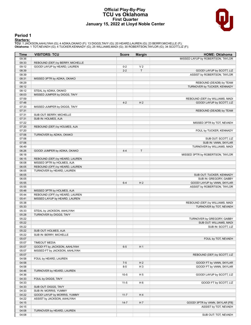### **Official Play-By-Play TCU vs Oklahoma First Quarter January 15, 2022 at Lloyd Noble Center**



# **Period 1**

<mark>Starters:</mark><br>TCU: 1 JACKSON,AAHLIYAH (G); 4 ADIKA,OKAKO (F); 13 DIGGS,TAVY (G); 20 HEARD,LAUREN (G); 23 BERRY,MICHELLE (F);<br>**Oklahoma**: 1 TOT,NEVAEH (G); 4 TUCKER,KENNADY (G); 25 WILLIAMS,MADI (G); 30 ROBERTSON,TAYLOR (G);

| Time           | <b>VISITORS: TCU</b>                                         | <b>Score</b> | <b>Margin</b>  | <b>HOME: Oklahoma</b>             |
|----------------|--------------------------------------------------------------|--------------|----------------|-----------------------------------|
| 09:36          |                                                              |              |                | MISSED LAYUP by ROBERTSON, TAYLOR |
| 09:33          | REBOUND (DEF) by BERRY, MICHELLE                             |              |                |                                   |
| 09:12          | GOOD! LAYUP by HEARD, LAUREN                                 | $0 - 2$      | V <sub>2</sub> |                                   |
| 08:39          |                                                              | $2 - 2$      | $\mathsf{T}$   | GOOD! LAYUP by SCOTT, LIZ         |
| 08:39          |                                                              |              |                | ASSIST by ROBERTSON, TAYLOR       |
| 08:31          | MISSED 3PTR by ADIKA, OKAKO                                  |              |                |                                   |
| 08:29          |                                                              |              |                | REBOUND (DEADB) by TEAM           |
| 08:12          |                                                              |              |                | TURNOVER by TUCKER, KENNADY       |
| 08:12<br>08:03 | STEAL by ADIKA, OKAKO<br>MISSED JUMPER by DIGGS, TAVY        |              |                |                                   |
| 07:59          |                                                              |              |                | REBOUND (DEF) by WILLIAMS, MADI   |
| 07:48          |                                                              | $4 - 2$      | H <sub>2</sub> | GOOD! LAYUP by SCOTT, LIZ         |
| 07:33          | MISSED JUMPER by DIGGS, TAVY                                 |              |                |                                   |
| 07:31          |                                                              |              |                | REBOUND (DEADB) by TEAM           |
| 07:31          | SUB OUT: BERRY, MICHELLE                                     |              |                |                                   |
| 07:31          | SUB IN: HOLMES, AJA                                          |              |                |                                   |
| 07:22          |                                                              |              |                | MISSED 3PTR by TOT, NEVAEH        |
| 07:20          | REBOUND (DEF) by HOLMES, AJA                                 |              |                |                                   |
| 07:20          |                                                              |              |                | FOUL by TUCKER, KENNADY           |
| 07:06          | TURNOVER by ADIKA, OKAKO                                     |              |                |                                   |
| 07:06          |                                                              |              |                | SUB OUT: SCOTT, LIZ               |
| 07:06          |                                                              |              |                | SUB IN: VANN, SKYLAR              |
| 06:49          |                                                              |              |                | TURNOVER by WILLIAMS, MADI        |
| 06:26          | GOOD! JUMPER by ADIKA, OKAKO                                 | $4 - 4$      | T              |                                   |
| 06:18          |                                                              |              |                | MISSED 3PTR by ROBERTSON, TAYLOR  |
| 06:15          | REBOUND (DEF) by HEARD, LAUREN                               |              |                |                                   |
| 06:08<br>06:05 | MISSED 3PTR by HOLMES, AJA<br>REBOUND (OFF) by HEARD, LAUREN |              |                |                                   |
| 06:05          | TURNOVER by HEARD, LAUREN                                    |              |                |                                   |
| 06:05          |                                                              |              |                | SUB OUT: TUCKER, KENNADY          |
| 06:05          |                                                              |              |                | SUB IN: GREGORY, GABBY            |
| 05:55          |                                                              | $6 - 4$      | H <sub>2</sub> | GOOD! LAYUP by VANN, SKYLAR       |
| 05:55          |                                                              |              |                | ASSIST by ROBERTSON, TAYLOR       |
| 05:48          | MISSED 3PTR by HOLMES, AJA                                   |              |                |                                   |
| 05:44          | REBOUND (OFF) by HEARD, LAUREN                               |              |                |                                   |
| 05:41          | MISSED LAYUP by HEARD, LAUREN                                |              |                |                                   |
| 05:38          |                                                              |              |                | REBOUND (DEF) by WILLIAMS, MADI   |
| 05:33          |                                                              |              |                | TURNOVER by TOT, NEVAEH           |
| 05:33          | STEAL by JACKSON, AAHLIYAH                                   |              |                |                                   |
| 05:28          | TURNOVER by DIGGS, TAVY                                      |              |                |                                   |
| 05:22          |                                                              |              |                | TURNOVER by GREGORY, GABBY        |
| 05:22          |                                                              |              |                | SUB OUT: WILLIAMS, MADI           |
| 05:22          |                                                              |              |                | SUB IN: SCOTT, LIZ                |
| 05:22<br>05:22 | SUB OUT: HOLMES, AJA                                         |              |                |                                   |
| 05:07          | SUB IN: BERRY, MICHELLE                                      |              |                | FOUL by TOT, NEVAEH               |
| 05:07          | <b>TIMEOUT MEDIA</b>                                         |              |                |                                   |
| 05:07          | GOOD! FT by JACKSON, AAHLIYAH                                | $6-5$        | H <sub>1</sub> |                                   |
| 05:07          | MISSED FT by JACKSON, AAHLIYAH                               |              |                |                                   |
| 05:07          |                                                              |              |                | REBOUND (DEF) by SCOTT, LIZ       |
| 04:58          | FOUL by HEARD, LAUREN                                        |              |                |                                   |
| 04:58          |                                                              | $7 - 5$      | H <sub>2</sub> | GOOD! FT by VANN, SKYLAR          |
| 04:58          |                                                              | $8 - 5$      | H <sub>3</sub> | GOOD! FT by VANN, SKYLAR          |
| 04:46          | TURNOVER by HEARD, LAUREN                                    |              |                |                                   |
| 04:36          |                                                              | $10-5$       | H <sub>5</sub> | GOOD! LAYUP by SCOTT, LIZ         |
| 04:33          | FOUL by DIGGS, TAVY                                          |              |                |                                   |
| 04:33          |                                                              | $11 - 5$     | H <sub>6</sub> | GOOD! FT by SCOTT, LIZ            |
| 04:33          | SUB OUT: DIGGS, TAVY                                         |              |                |                                   |
| 04:33          | SUB IN: MORRIS, YUMMY                                        |              |                |                                   |
| 04:22          | GOOD! LAYUP by MORRIS, YUMMY                                 | $11 - 7$     | H4             |                                   |
| 04:22          | ASSIST by JACKSON, AAHLIYAH                                  |              |                |                                   |
| 04:15          |                                                              | $14 - 7$     | H 7            | GOOD! 3PTR by VANN, SKYLAR [FB]   |
| 04:15<br>04:08 | TURNOVER by HEARD, LAUREN                                    |              |                | ASSIST by TOT, NEVAEH             |
| 04:08          |                                                              |              |                | SUB OUT: TOT, NEVAEH              |
|                |                                                              |              |                |                                   |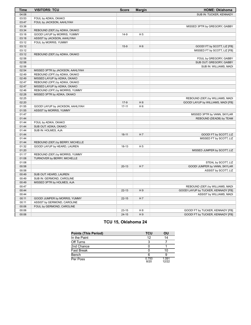| Time  | <b>VISITORS: TCU</b>             | <b>Score</b> | <b>Margin</b>  | <b>HOME: Oklahoma</b>               |
|-------|----------------------------------|--------------|----------------|-------------------------------------|
| 04:08 |                                  |              |                | SUB IN: TUCKER, KENNADY             |
| 03:53 | FOUL by ADIKA, OKAKO             |              |                |                                     |
| 03:47 | FOUL by JACKSON, AAHLIYAH        |              |                |                                     |
| 03:38 |                                  |              |                | MISSED 3PTR by GREGORY, GABBY       |
| 03:34 | REBOUND (DEF) by ADIKA, OKAKO    |              |                |                                     |
| 03:18 | GOOD! LAYUP by MORRIS, YUMMY     | $14-9$       | H <sub>5</sub> |                                     |
| 03:18 | ASSIST by JACKSON, AAHLIYAH      |              |                |                                     |
| 03:12 | FOUL by MORRIS, YUMMY            |              |                |                                     |
| 03:12 |                                  | $15-9$       | H <sub>6</sub> | GOOD! FT by SCOTT, LIZ [FB]         |
| 03:12 |                                  |              |                | MISSED FT by SCOTT, LIZ [FB]        |
| 03:12 | REBOUND (DEF) by ADIKA, OKAKO    |              |                |                                     |
| 02:58 |                                  |              |                | FOUL by GREGORY, GABBY              |
| 02:58 |                                  |              |                | SUB OUT: GREGORY, GABBY             |
| 02:58 |                                  |              |                | SUB IN: WILLIAMS, MADI              |
| 02:54 | MISSED 3PTR by JACKSON, AAHLIYAH |              |                |                                     |
| 02:49 | REBOUND (OFF) by ADIKA, OKAKO    |              |                |                                     |
| 02:49 | MISSED LAYUP by ADIKA, OKAKO     |              |                |                                     |
| 02:47 | REBOUND (OFF) by ADIKA, OKAKO    |              |                |                                     |
| 02:47 | MISSED LAYUP by ADIKA, OKAKO     |              |                |                                     |
| 02:46 | REBOUND (OFF) by MORRIS, YUMMY   |              |                |                                     |
| 02:28 | MISSED 3PTR by ADIKA, OKAKO      |              |                |                                     |
| 02:25 |                                  |              |                | REBOUND (DEF) by WILLIAMS, MADI     |
| 02:20 |                                  | $17-9$       | H 8            | GOOD! LAYUP by WILLIAMS, MADI [FB]  |
| 01:55 | GOOD! LAYUP by JACKSON, AAHLIYAH | $17 - 11$    | H <sub>6</sub> |                                     |
| 01:55 | ASSIST by MORRIS, YUMMY          |              |                |                                     |
| 01:47 |                                  |              |                | MISSED 3PTR by VANN, SKYLAR         |
| 01:44 |                                  |              |                | REBOUND (DEADB) by TEAM             |
| 01:44 | FOUL by ADIKA, OKAKO             |              |                |                                     |
| 01:44 | SUB OUT: ADIKA, OKAKO            |              |                |                                     |
| 01:44 | SUB IN: HOLMES, AJA              |              |                |                                     |
| 01:44 |                                  | $18 - 11$    | H <sub>7</sub> | GOOD! FT by SCOTT, LIZ              |
| 01:44 |                                  |              |                | MISSED FT by SCOTT, LIZ             |
| 01:44 | REBOUND (DEF) by BERRY, MICHELLE |              |                |                                     |
| 01:32 | GOOD! LAYUP by HEARD, LAUREN     | 18-13        | H <sub>5</sub> |                                     |
| 01:20 |                                  |              |                | MISSED JUMPER by SCOTT, LIZ         |
| 01:17 | REBOUND (DEF) by MORRIS, YUMMY   |              |                |                                     |
| 01:08 | TURNOVER by BERRY, MICHELLE      |              |                |                                     |
| 01:08 |                                  |              |                | STEAL by SCOTT, LIZ                 |
| 00:58 |                                  | $20-13$      | H <sub>7</sub> | GOOD! JUMPER by VANN, SKYLAR        |
| 00:58 |                                  |              |                | ASSIST by SCOTT, LIZ                |
| 00:49 | SUB OUT: HEARD, LAUREN           |              |                |                                     |
| 00:49 | SUB IN: GERMOND, CAROLINE        |              |                |                                     |
| 00:49 | MISSED 3PTR by HOLMES, AJA       |              |                |                                     |
| 00:47 |                                  |              |                | REBOUND (DEF) by WILLIAMS, MADI     |
| 00:44 |                                  | $22 - 13$    | H9             | GOOD! LAYUP by TUCKER, KENNADY [FB] |
| 00:44 |                                  |              |                | ASSIST by WILLIAMS, MADI            |
| 00:11 | GOOD! JUMPER by MORRIS, YUMMY    | $22 - 15$    | H <sub>7</sub> |                                     |
| 00:11 | ASSIST by GERMOND, CAROLINE      |              |                |                                     |
| 00:06 | FOUL by GERMOND, CAROLINE        |              |                |                                     |
| 00:06 |                                  | $23 - 15$    | H <sub>8</sub> | GOOD! FT by TUCKER, KENNADY [FB]    |
| 00:06 |                                  | $24 - 15$    | H <sub>9</sub> | GOOD! FT by TUCKER, KENNADY [FB]    |

# **TCU 15, Oklahoma 24**

| <b>Points (This Period)</b> | TCU           | OU             |
|-----------------------------|---------------|----------------|
| In the Paint                | 12            | 14             |
| Off Turns                   | ર             |                |
| 2nd Chance                  |               |                |
| <b>Fast Break</b>           |               | 10             |
| Bench                       |               |                |
| Per Poss                    | 0.750<br>8/20 | 1.091<br>12/22 |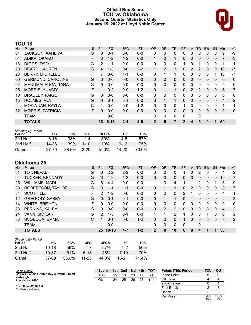### **Official Box Score TCU vs Oklahoma Second Quarter Statistics Only January 15, 2022 at Lloyd Noble Center**



# **TCU 18**

| No. | Plaver                   | S | Pts      | <b>FG</b> | 3FG     | <b>FT</b> | <b>OR</b>    | <b>DR</b> | <b>TR</b>    | PF | A            | TO           | <b>Blk</b> | Stl          | <b>Min</b>              | $+/-$        |
|-----|--------------------------|---|----------|-----------|---------|-----------|--------------|-----------|--------------|----|--------------|--------------|------------|--------------|-------------------------|--------------|
| 01  | JACKSON, AAHLIYAH        | G | 0        | $0 - 1$   | $0 - 0$ | $0 - 0$   | 0            | 0         | 0            | 0  | 0            | 0            | 0          | 0            | 9                       | $-9$         |
| 04  | ADIKA, OKAKO             | F | 3        | $1 - 2$   | $1 - 2$ | $0 - 0$   | 1            | $\Omega$  | $\mathbf{1}$ | 0  | $\mathbf{0}$ | $\mathbf{0}$ | 0          | $\mathbf{0}$ |                         | $-3$         |
| 13  | DIGGS, TAVY              | G | 2        | 1-1       | $0 - 0$ | $0 - 0$   | 0            | 0         | 0            | 1  | 0            |              | 0          | 0            |                         | 1            |
| 20  | HEARD, LAUREN            | G | 4        | $1 - 3$   | $0 - 0$ | $2 - 2$   | $\mathbf 1$  | 2         | 3            | 0  | 2            | 2            | 0          | $\mathbf{0}$ | 10                      | $-7$         |
| 23  | <b>BERRY, MICHELLE</b>   | F |          | $3-6$     | $1 - 1$ | $0 - 0$   | 0            | 1         | 1            | 0  | 0            | 0            | 0          |              | 10                      | $-7$         |
| 00  | <b>GERMOND, CAROLINE</b> | G | $\Omega$ | $0 - 0$   | $0 - 0$ | $0 - 0$   | $\mathbf{0}$ | $\Omega$  | 0            | 0  | $\mathbf{0}$ | $\Omega$     | $\Omega$   | $\Omega$     | $\mathbf{0}$            | $\Omega$     |
| 02  | MANUMALEUGA, TARA        | G | 0        | $0 - 0$   | $0 - 0$ | $0 - 0$   | 0            | 0         | 0            | 0  | 0            | 0            | 0          | $\Omega$     | 0                       | 0            |
| 05  | <b>MORRIS, YUMMY</b>     | F |          | $0 - 2$   | $0 - 0$ | $1 - 2$   | $\Omega$     |           | $\mathbf{1}$ | 0  | 2            | 2            | $\Omega$   | $\Omega$     | 8                       | $-7$         |
| 10  | <b>BRADLEY, PAIGE</b>    | G | 0        | $0 - 0$   | $0 - 0$ | $0 - 0$   | 0            | 0         | 0            | 0  | 0            | 0            | 0          | $\Omega$     | 0                       | 0            |
| 15  | <b>HOLMES, AJA</b>       | G | $\Omega$ | $0 - 1$   | $0 - 1$ | $0 - 0$   | $\Omega$     |           | $\mathbf{1}$ | 0  | $\Omega$     | $\Omega$     | $\Omega$   | $\Omega$     | $\overline{\mathbf{4}}$ | $-2$         |
| 24  | MOKWUAH, KAYLA           | C |          | $0 - 0$   | $0 - 0$ | $1 - 2$   | $\Omega$     | 0         | 0            |    | 0            | 0            | 0          | $\Omega$     |                         | $-1$         |
| 32  | <b>MORRIS, PATRICIA</b>  | F | $\Omega$ | $0 - 0$   | $0 - 0$ | $0 - 0$   | $\Omega$     | $\Omega$  | 0            | 0  | $\Omega$     | $\Omega$     | $\Omega$   | $\Omega$     | $\Omega$                | $\mathbf{0}$ |
|     | <b>TEAM</b>              |   |          | $0 - 0$   |         |           | $\Omega$     | 0         | 0            | 0  |              | 0            |            |              |                         |              |
|     | <b>TOTALS</b>            |   | 18       | $6 - 16$  | $2 - 4$ | $4 - 6$   | 2            | 5         | 7            | 2  | 4            | 5            | 0          |              | 50                      |              |

| <b>Shooting By Period</b><br>Period | FG    | FG%        | 3FG      | 3FG%  | FТ       | FT%   |
|-------------------------------------|-------|------------|----------|-------|----------|-------|
| 2nd Half                            | 6-16  | <b>38%</b> | $2 - 4$  | 50%   | 4-6      | 67%   |
| 2nd Half                            | 14-36 | 39%        | $1 - 10$ | 10%   | $9 - 12$ | 75%   |
| Game                                | 27-70 | 38.6%      | $3-20$   | 15.0% | 14-20    | 70.0% |

# **Oklahoma 25**

| No.               | Plaver                 | S | Pts      | <b>FG</b> | 3FG     | <b>FT</b> | <b>OR</b> | <b>DR</b> | TR             | PF | A            | TO       | <b>Blk</b> | <b>Stl</b>   | Min            | $+/-$          |
|-------------------|------------------------|---|----------|-----------|---------|-----------|-----------|-----------|----------------|----|--------------|----------|------------|--------------|----------------|----------------|
| 01                | TOT, NEVAEH            | G | 6        | $2 - 2$   | $2 - 2$ | $0 - 0$   | 0         | 0         | 0              |    | 0            |          | 0          | 0            | 4              | 2              |
| 04                | <b>TUCKER, KENNADY</b> | G | 3        | $1 - 2$   | $1 - 2$ | $0 - 0$   | 0         | 0         | 0              | 0  | 3            | 0        | 0          | $\mathbf{0}$ | 10             | 7              |
| 25                | <b>WILLIAMS, MADI</b>  | G | 8        | 4-4       | $0 - 0$ | $0 - 0$   |           | 3         | 4              |    |              | 2        | 0          |              | 8              | 9              |
| 30                | ROBERTSON, TAYLOR      | G | 3        | $1 - 1$   | $1 - 1$ | $0 - 0$   | 0         |           | 1              | 0  | 2            | $\Omega$ | 0          | $\mathbf{0}$ | 8              | $\overline{7}$ |
| 34                | SCOTT, LIZ             | F | 2        | $1 - 2$   | $0 - 0$ | $0-0$     | $\Omega$  | $\Omega$  | 0              | 2  |              | 0        | 0          | $\Omega$     | 4              | 1              |
| $12 \overline{ }$ | <b>GREGORY, GABBY</b>  | G | $\Omega$ | $0 - 1$   | $0 - 1$ | $0 - 0$   | $\Omega$  |           | 1.             | 0  |              | 0        | 0          | $\Omega$     | 2              | 3              |
| 14                | <b>WHITE, BRE'YON</b>  | F | $\Omega$ | $0 - 0$   | $0 - 0$ | $0-0$     | 0         | 0         | 0              | 0  | 0            | 0        | 0          | 0            | $\mathbf 0$    | 0              |
| 23                | PERKINS, KALEY         | G | $\Omega$ | $0 - 0$   | $0 - 0$ | $0 - 0$   | 0         | 2         | $\overline{2}$ | 0  | $\mathbf{0}$ | $\Omega$ | 0          | $\Omega$     | $\overline{4}$ | 2              |
| 24                | VANN, SKYLAR           | G | 2        | $1 - 5$   | $0 - 1$ | $0 - 0$   |           | и         | 2              |    | 0            | 0        |            | 0            | 6              | 2              |
| 33                | SVOBODA, EMMA          | С |          | $0 - 1$   | $0 - 0$ | $1 - 2$   | 0         | 0         | 0              | 1  | 0            | $\Omega$ | 0          | $\Omega$     | 3              | 2              |
|                   | <b>TEAM</b>            |   |          | $0 - 0$   |         |           | $\Omega$  | 0         | 0              | 0  |              | 0        |            |              |                |                |
|                   | <b>TOTALS</b>          |   |          | 25 10-18  | 4-7     | $1 - 2$   | 2         | 8         | 10             | 6  | 8            | 4        |            | 1            | 50             |                |

| <b>Shooting By Period</b><br>Period | FG        | FG%   | 3FG    | 3FG%  | FТ    | FT%   |
|-------------------------------------|-----------|-------|--------|-------|-------|-------|
| 2nd Half                            | $10 - 18$ | 56%   | 4-7    | 57%   | $1-2$ | 50%   |
| 2nd Half                            | 19-37     | 51%   | $6-13$ | 46%   | 7-10  | 70%   |
| Game                                | 37-69     | 53.6% | 11-25  | 44.0% | 15-21 | 71.4% |

| Game Notes:                                                  | <b>Score</b> | 1st. | 2nd | 3rd | 4th | <b>TOT</b> | <b>Points (This Period)</b> | TCU           | OU             |
|--------------------------------------------------------------|--------------|------|-----|-----|-----|------------|-----------------------------|---------------|----------------|
| Officials: Felicia Grinter, Kevin Pethtel, Scott<br>Yarbough | τcυ          | 15   | 18  | 23  | 15  | 71         | In the Paint                |               | 10             |
| Attendance: 2460                                             | OU           | 24   | 25  | 26  | 25  | 100        | Off Turns                   |               |                |
|                                                              |              |      |     |     |     |            | 2nd Chance                  |               |                |
| Start Time: 07:30 PM<br>Conference Game:                     |              |      |     |     |     |            | Fast Break                  |               |                |
|                                                              |              |      |     |     |     |            | Bench                       |               |                |
|                                                              |              |      |     |     |     |            | Per Poss                    | 0.857<br>8/21 | 1.190<br>11/21 |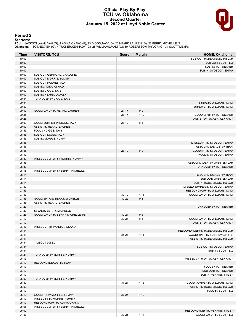### **Official Play-By-Play TCU vs Oklahoma Second Quarter January 15, 2022 at Lloyd Noble Center**



# **Period 2**

<mark>Starters:</mark><br>TCU: 1 JACKSON,AAHLIYAH (G); 4 ADIKA,OKAKO (F); 13 DIGGS,TAVY (G); 20 HEARD,LAUREN (G); 23 BERRY,MICHELLE (F);<br>**Oklahoma**: 1 TOT,NEVAEH (G); 4 TUCKER,KENNADY (G); 25 WILLIAMS,MADI (G); 30 ROBERTSON,TAYLOR (G);

| Time           | <b>VISITORS: TCU</b>                                   | <b>Score</b> | <b>Margin</b>  | <b>HOME: Oklahoma</b>              |
|----------------|--------------------------------------------------------|--------------|----------------|------------------------------------|
| 10:00          |                                                        |              |                | SUB OUT: ROBERTSON, TAYLOR         |
| 10:00          |                                                        |              |                | SUB OUT: SCOTT, LIZ                |
| 10:00          |                                                        |              |                | SUB IN: TOT, NEVAEH                |
| 10:00          |                                                        |              |                | SUB IN: SVOBODA, EMMA              |
| 10:00          | SUB OUT: GERMOND, CAROLINE                             |              |                |                                    |
| 10:00          | SUB OUT: MORRIS, YUMMY                                 |              |                |                                    |
| 10:00          | SUB OUT: HOLMES, AJA                                   |              |                |                                    |
| 10:00          | SUB IN: ADIKA, OKAKO                                   |              |                |                                    |
| 10:00          | SUB IN: DIGGS, TAVY                                    |              |                |                                    |
| 10:00          | SUB IN: HEARD, LAUREN                                  |              |                |                                    |
| 09:54          | TURNOVER by DIGGS, TAVY                                |              |                |                                    |
| 09:54          |                                                        |              |                | STEAL by WILLIAMS, MADI            |
| 09:50          |                                                        |              |                | TURNOVER by WILLIAMS, MADI         |
| 09:40          | GOOD! LAYUP by HEARD, LAUREN                           | $24 - 17$    | H 7            |                                    |
| 09:25          |                                                        | $27-17$      | H 10           | GOOD! 3PTR by TOT, NEVAEH          |
| 09:25          |                                                        |              |                | ASSIST by TUCKER, KENNADY          |
| 09:09<br>09:09 | GOOD! JUMPER by DIGGS, TAVY<br>ASSIST by HEARD, LAUREN | 27-19        | H <sub>8</sub> |                                    |
| 08:55          |                                                        |              |                |                                    |
| 08:55          | FOUL by DIGGS, TAVY<br>SUB OUT: DIGGS, TAVY            |              |                |                                    |
| 08:55          | SUB IN: MORRIS, YUMMY                                  |              |                |                                    |
| 08:55          |                                                        |              |                | MISSED FT by SVOBODA, EMMA         |
| 08:55          |                                                        |              |                | REBOUND (DEADB) by TEAM            |
| 08:55          |                                                        | 28-19        | H9             | GOOD! FT by SVOBODA, EMMA          |
| 08:42          |                                                        |              |                | FOUL by SVOBODA, EMMA              |
| 08:39          | MISSED JUMPER by MORRIS, YUMMY                         |              |                |                                    |
| 08:36          |                                                        |              |                | REBOUND (DEF) by VANN, SKYLAR      |
| 08:33          |                                                        |              |                | TURNOVER by TOT, NEVAEH            |
| 08:18          | MISSED JUMPER by BERRY, MICHELLE                       |              |                |                                    |
| 08:14          |                                                        |              |                | REBOUND (DEADB) by TEAM            |
| 08:14          |                                                        |              |                | SUB OUT: VANN, SKYLAR              |
| 08:14          |                                                        |              |                | SUB IN: ROBERTSON, TAYLOR          |
| 07:59          |                                                        |              |                | MISSED JUMPER by SVOBODA, EMMA     |
| 07:53          |                                                        |              |                | REBOUND (OFF) by WILLIAMS, MADI    |
| 07:53          |                                                        | $30 - 19$    | H 11           | GOOD! LAYUP by WILLIAMS, MADI      |
| 07:36          | GOOD! 3PTR by BERRY, MICHELLE                          | $30 - 22$    | H <sub>8</sub> |                                    |
| 07:36          | ASSIST by HEARD, LAUREN                                |              |                |                                    |
| 07:29          |                                                        |              |                | TURNOVER by TOT, NEVAEH            |
| 07:29          | STEAL by BERRY, MICHELLE                               |              |                |                                    |
| 07:25          | GOOD! LAYUP by BERRY, MICHELLE [FB]                    | $30 - 24$    | H <sub>6</sub> |                                    |
| 07:10          |                                                        | 32-24        | H <sub>8</sub> | GOOD! LAYUP by WILLIAMS, MADI      |
| 07:10          |                                                        |              |                | ASSIST by TUCKER, KENNADY          |
| 06:47          | MISSED 3PTR by ADIKA, OKAKO                            |              |                |                                    |
| 06:44          |                                                        |              |                | REBOUND (DEF) by ROBERTSON, TAYLOR |
| 06:41          |                                                        | 35-24        | H 11           | GOOD! 3PTR by TOT, NEVAEH [FB]     |
| 06:41          |                                                        |              |                | ASSIST by ROBERTSON, TAYLOR        |
| 06:34          | TIMEOUT 30SEC                                          |              |                |                                    |
| 06:34          |                                                        |              |                | SUB OUT: SVOBODA, EMMA             |
| 06:34          |                                                        |              |                | SUB IN: SCOTT, LIZ                 |
| 06:21          | TURNOVER by MORRIS, YUMMY                              |              |                |                                    |
| 06:13          |                                                        |              |                | MISSED 3PTR by TUCKER, KENNADY     |
| 06:10          | REBOUND (DEADB) by TEAM                                |              |                |                                    |
| 06:10          |                                                        |              |                | FOUL by TOT, NEVAEH                |
| 06:10          |                                                        |              |                | SUB OUT: TOT, NEVAEH               |
| 06:10<br>05:50 | TURNOVER by MORRIS, YUMMY                              |              |                | SUB IN: PERKINS, KALEY             |
| 05:50          |                                                        | 37-24        | H 13           | GOOD! JUMPER by WILLIAMS, MADI     |
| 05:50          |                                                        |              |                | ASSIST by ROBERTSON, TAYLOR        |
| 05:10          |                                                        |              |                | FOUL by SCOTT, LIZ                 |
| 05:10          | GOOD! FT by MORRIS, YUMMY                              | $37 - 25$    | H 12           |                                    |
| 05:10          | MISSED FT by MORRIS, YUMMY                             |              |                |                                    |
| 05:10          | REBOUND (OFF) by ADIKA, OKAKO                          |              |                |                                    |
| 05:06          | MISSED JUMPER by BERRY, MICHELLE                       |              |                |                                    |
| 05:02          |                                                        |              |                | REBOUND (DEF) by PERKINS, KALEY    |
| 04:57          |                                                        | 39-25        | H 14           | GOOD! LAYUP by SCOTT, LIZ          |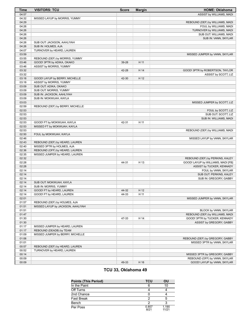| 04:57<br>ASSIST by WILLIAMS, MADI<br>04:32<br>MISSED LAYUP by MORRIS, YUMMY<br>04:29<br>REBOUND (DEF) by WILLIAMS, MADI<br>04:26<br>FOUL by WILLIAMS, MADI<br>04:26<br>TURNOVER by WILLIAMS, MADI<br>04:26<br>SUB OUT: WILLIAMS, MADI<br>04:26<br>SUB IN: VANN, SKYLAR<br>04:26<br>SUB OUT: JACKSON, AAHLIYAH<br>04:26<br>SUB IN: HOLMES, AJA<br>04:07<br>TURNOVER by HEARD, LAUREN<br>03:59<br>MISSED JUMPER by VANN, SKYLAR<br>03:55<br>REBOUND (DEF) by MORRIS, YUMMY<br>03:46<br>GOOD! 3PTR by ADIKA, OKAKO<br>H 11<br>39-28<br>03:46<br>ASSIST by MORRIS, YUMMY<br>03:32<br>42-28<br>H 14<br>GOOD! 3PTR by ROBERTSON, TAYLOR<br>03:32<br>ASSIST by SCOTT, LIZ<br>03:18<br>GOOD! LAYUP by BERRY, MICHELLE<br>42-30<br>H 12<br>03:18<br>ASSIST by MORRIS, YUMMY<br>03:09<br>SUB OUT: ADIKA, OKAKO<br>03:09<br>SUB OUT: MORRIS, YUMMY<br>03:09<br>SUB IN: JACKSON, AAHLIYAH<br>03:09<br>SUB IN: MOKWUAH, KAYLA<br>03:03<br>MISSED JUMPER by SCOTT, LIZ<br>02:59<br>REBOUND (DEF) by BERRY, MICHELLE<br>02:53<br>FOUL by SCOTT, LIZ<br>02:53<br>SUB OUT: SCOTT, LIZ<br>02:53<br>SUB IN: WILLIAMS, MADI<br>02:53<br>H 11<br>GOOD! FT by MOKWUAH, KAYLA<br>42-31<br>02:53<br>MISSED FT by MOKWUAH, KAYLA<br>02:53<br>REBOUND (DEF) by WILLIAMS, MADI<br>02:50<br>FOUL by MOKWUAH, KAYLA<br>02:46<br>MISSED LAYUP by VANN, SKYLAR<br>02:43<br>REBOUND (DEF) by HEARD, LAUREN<br>02:40<br>MISSED 3PTR by HOLMES, AJA<br>02:36<br>REBOUND (OFF) by HEARD, LAUREN<br>02:35<br>MISSED JUMPER by HEARD, LAUREN<br>02:32<br>REBOUND (DEF) by PERKINS, KALEY<br>02:28<br>H 13<br>44-31<br>GOOD! LAYUP by WILLIAMS, MADI [FB]<br>02:28<br>ASSIST by TUCKER, KENNADY<br>02:14<br>FOUL by VANN, SKYLAR<br>02:14<br>SUB OUT: PERKINS, KALEY<br>02:14<br>SUB IN: GREGORY, GABBY<br>02:14<br>SUB OUT: MOKWUAH, KAYLA<br>02:14<br>SUB IN: MORRIS, YUMMY<br>02:14<br>44-32<br>GOOD! FT by HEARD, LAUREN<br>H 12<br>02:14<br>GOOD! FT by HEARD, LAUREN<br>44-33<br>H 11<br>02:01<br>MISSED JUMPER by VANN, SKYLAR<br>01:57<br>REBOUND (DEF) by HOLMES, AJA<br>01:51<br>MISSED LAYUP by JACKSON, AAHLIYAH<br>01:51<br>BLOCK by VANN, SKYLAR<br>01:47<br>REBOUND (DEF) by WILLIAMS, MADI<br>01:30<br>47-33<br>H 14<br>GOOD! 3PTR by TUCKER, KENNADY<br>01:30<br>ASSIST by GREGORY, GABBY<br>01:17<br>MISSED JUMPER by HEARD, LAUREN<br>01:17<br>REBOUND (DEADB) by TEAM<br>01:09<br>MISSED JUMPER by BERRY, MICHELLE<br>01:06<br>REBOUND (DEF) by GREGORY, GABBY<br>01:01<br>MISSED 3PTR by VANN, SKYLAR<br>00:57<br>REBOUND (DEF) by HEARD, LAUREN<br>00:52<br>TURNOVER by HEARD, LAUREN<br>00:14<br>MISSED 3PTR by GREGORY, GABBY<br>00:09<br>REBOUND (OFF) by VANN, SKYLAR<br>00:09<br>49-33<br>H 16<br>GOOD! LAYUP by VANN, SKYLAR | Time | <b>VISITORS: TCU</b> | <b>Score</b> | <b>Margin</b> | <b>HOME: Oklahoma</b> |
|--------------------------------------------------------------------------------------------------------------------------------------------------------------------------------------------------------------------------------------------------------------------------------------------------------------------------------------------------------------------------------------------------------------------------------------------------------------------------------------------------------------------------------------------------------------------------------------------------------------------------------------------------------------------------------------------------------------------------------------------------------------------------------------------------------------------------------------------------------------------------------------------------------------------------------------------------------------------------------------------------------------------------------------------------------------------------------------------------------------------------------------------------------------------------------------------------------------------------------------------------------------------------------------------------------------------------------------------------------------------------------------------------------------------------------------------------------------------------------------------------------------------------------------------------------------------------------------------------------------------------------------------------------------------------------------------------------------------------------------------------------------------------------------------------------------------------------------------------------------------------------------------------------------------------------------------------------------------------------------------------------------------------------------------------------------------------------------------------------------------------------------------------------------------------------------------------------------------------------------------------------------------------------------------------------------------------------------------------------------------------------------------------------------------------------------------------------------------------------------------------------------------------------------------------------------------------------------------------------------------------------------------------------------------------------------------------------------------|------|----------------------|--------------|---------------|-----------------------|
|                                                                                                                                                                                                                                                                                                                                                                                                                                                                                                                                                                                                                                                                                                                                                                                                                                                                                                                                                                                                                                                                                                                                                                                                                                                                                                                                                                                                                                                                                                                                                                                                                                                                                                                                                                                                                                                                                                                                                                                                                                                                                                                                                                                                                                                                                                                                                                                                                                                                                                                                                                                                                                                                                                                    |      |                      |              |               |                       |
|                                                                                                                                                                                                                                                                                                                                                                                                                                                                                                                                                                                                                                                                                                                                                                                                                                                                                                                                                                                                                                                                                                                                                                                                                                                                                                                                                                                                                                                                                                                                                                                                                                                                                                                                                                                                                                                                                                                                                                                                                                                                                                                                                                                                                                                                                                                                                                                                                                                                                                                                                                                                                                                                                                                    |      |                      |              |               |                       |
|                                                                                                                                                                                                                                                                                                                                                                                                                                                                                                                                                                                                                                                                                                                                                                                                                                                                                                                                                                                                                                                                                                                                                                                                                                                                                                                                                                                                                                                                                                                                                                                                                                                                                                                                                                                                                                                                                                                                                                                                                                                                                                                                                                                                                                                                                                                                                                                                                                                                                                                                                                                                                                                                                                                    |      |                      |              |               |                       |
|                                                                                                                                                                                                                                                                                                                                                                                                                                                                                                                                                                                                                                                                                                                                                                                                                                                                                                                                                                                                                                                                                                                                                                                                                                                                                                                                                                                                                                                                                                                                                                                                                                                                                                                                                                                                                                                                                                                                                                                                                                                                                                                                                                                                                                                                                                                                                                                                                                                                                                                                                                                                                                                                                                                    |      |                      |              |               |                       |
|                                                                                                                                                                                                                                                                                                                                                                                                                                                                                                                                                                                                                                                                                                                                                                                                                                                                                                                                                                                                                                                                                                                                                                                                                                                                                                                                                                                                                                                                                                                                                                                                                                                                                                                                                                                                                                                                                                                                                                                                                                                                                                                                                                                                                                                                                                                                                                                                                                                                                                                                                                                                                                                                                                                    |      |                      |              |               |                       |
|                                                                                                                                                                                                                                                                                                                                                                                                                                                                                                                                                                                                                                                                                                                                                                                                                                                                                                                                                                                                                                                                                                                                                                                                                                                                                                                                                                                                                                                                                                                                                                                                                                                                                                                                                                                                                                                                                                                                                                                                                                                                                                                                                                                                                                                                                                                                                                                                                                                                                                                                                                                                                                                                                                                    |      |                      |              |               |                       |
|                                                                                                                                                                                                                                                                                                                                                                                                                                                                                                                                                                                                                                                                                                                                                                                                                                                                                                                                                                                                                                                                                                                                                                                                                                                                                                                                                                                                                                                                                                                                                                                                                                                                                                                                                                                                                                                                                                                                                                                                                                                                                                                                                                                                                                                                                                                                                                                                                                                                                                                                                                                                                                                                                                                    |      |                      |              |               |                       |
|                                                                                                                                                                                                                                                                                                                                                                                                                                                                                                                                                                                                                                                                                                                                                                                                                                                                                                                                                                                                                                                                                                                                                                                                                                                                                                                                                                                                                                                                                                                                                                                                                                                                                                                                                                                                                                                                                                                                                                                                                                                                                                                                                                                                                                                                                                                                                                                                                                                                                                                                                                                                                                                                                                                    |      |                      |              |               |                       |
|                                                                                                                                                                                                                                                                                                                                                                                                                                                                                                                                                                                                                                                                                                                                                                                                                                                                                                                                                                                                                                                                                                                                                                                                                                                                                                                                                                                                                                                                                                                                                                                                                                                                                                                                                                                                                                                                                                                                                                                                                                                                                                                                                                                                                                                                                                                                                                                                                                                                                                                                                                                                                                                                                                                    |      |                      |              |               |                       |
|                                                                                                                                                                                                                                                                                                                                                                                                                                                                                                                                                                                                                                                                                                                                                                                                                                                                                                                                                                                                                                                                                                                                                                                                                                                                                                                                                                                                                                                                                                                                                                                                                                                                                                                                                                                                                                                                                                                                                                                                                                                                                                                                                                                                                                                                                                                                                                                                                                                                                                                                                                                                                                                                                                                    |      |                      |              |               |                       |
|                                                                                                                                                                                                                                                                                                                                                                                                                                                                                                                                                                                                                                                                                                                                                                                                                                                                                                                                                                                                                                                                                                                                                                                                                                                                                                                                                                                                                                                                                                                                                                                                                                                                                                                                                                                                                                                                                                                                                                                                                                                                                                                                                                                                                                                                                                                                                                                                                                                                                                                                                                                                                                                                                                                    |      |                      |              |               |                       |
|                                                                                                                                                                                                                                                                                                                                                                                                                                                                                                                                                                                                                                                                                                                                                                                                                                                                                                                                                                                                                                                                                                                                                                                                                                                                                                                                                                                                                                                                                                                                                                                                                                                                                                                                                                                                                                                                                                                                                                                                                                                                                                                                                                                                                                                                                                                                                                                                                                                                                                                                                                                                                                                                                                                    |      |                      |              |               |                       |
|                                                                                                                                                                                                                                                                                                                                                                                                                                                                                                                                                                                                                                                                                                                                                                                                                                                                                                                                                                                                                                                                                                                                                                                                                                                                                                                                                                                                                                                                                                                                                                                                                                                                                                                                                                                                                                                                                                                                                                                                                                                                                                                                                                                                                                                                                                                                                                                                                                                                                                                                                                                                                                                                                                                    |      |                      |              |               |                       |
|                                                                                                                                                                                                                                                                                                                                                                                                                                                                                                                                                                                                                                                                                                                                                                                                                                                                                                                                                                                                                                                                                                                                                                                                                                                                                                                                                                                                                                                                                                                                                                                                                                                                                                                                                                                                                                                                                                                                                                                                                                                                                                                                                                                                                                                                                                                                                                                                                                                                                                                                                                                                                                                                                                                    |      |                      |              |               |                       |
|                                                                                                                                                                                                                                                                                                                                                                                                                                                                                                                                                                                                                                                                                                                                                                                                                                                                                                                                                                                                                                                                                                                                                                                                                                                                                                                                                                                                                                                                                                                                                                                                                                                                                                                                                                                                                                                                                                                                                                                                                                                                                                                                                                                                                                                                                                                                                                                                                                                                                                                                                                                                                                                                                                                    |      |                      |              |               |                       |
|                                                                                                                                                                                                                                                                                                                                                                                                                                                                                                                                                                                                                                                                                                                                                                                                                                                                                                                                                                                                                                                                                                                                                                                                                                                                                                                                                                                                                                                                                                                                                                                                                                                                                                                                                                                                                                                                                                                                                                                                                                                                                                                                                                                                                                                                                                                                                                                                                                                                                                                                                                                                                                                                                                                    |      |                      |              |               |                       |
|                                                                                                                                                                                                                                                                                                                                                                                                                                                                                                                                                                                                                                                                                                                                                                                                                                                                                                                                                                                                                                                                                                                                                                                                                                                                                                                                                                                                                                                                                                                                                                                                                                                                                                                                                                                                                                                                                                                                                                                                                                                                                                                                                                                                                                                                                                                                                                                                                                                                                                                                                                                                                                                                                                                    |      |                      |              |               |                       |
|                                                                                                                                                                                                                                                                                                                                                                                                                                                                                                                                                                                                                                                                                                                                                                                                                                                                                                                                                                                                                                                                                                                                                                                                                                                                                                                                                                                                                                                                                                                                                                                                                                                                                                                                                                                                                                                                                                                                                                                                                                                                                                                                                                                                                                                                                                                                                                                                                                                                                                                                                                                                                                                                                                                    |      |                      |              |               |                       |
|                                                                                                                                                                                                                                                                                                                                                                                                                                                                                                                                                                                                                                                                                                                                                                                                                                                                                                                                                                                                                                                                                                                                                                                                                                                                                                                                                                                                                                                                                                                                                                                                                                                                                                                                                                                                                                                                                                                                                                                                                                                                                                                                                                                                                                                                                                                                                                                                                                                                                                                                                                                                                                                                                                                    |      |                      |              |               |                       |
|                                                                                                                                                                                                                                                                                                                                                                                                                                                                                                                                                                                                                                                                                                                                                                                                                                                                                                                                                                                                                                                                                                                                                                                                                                                                                                                                                                                                                                                                                                                                                                                                                                                                                                                                                                                                                                                                                                                                                                                                                                                                                                                                                                                                                                                                                                                                                                                                                                                                                                                                                                                                                                                                                                                    |      |                      |              |               |                       |
|                                                                                                                                                                                                                                                                                                                                                                                                                                                                                                                                                                                                                                                                                                                                                                                                                                                                                                                                                                                                                                                                                                                                                                                                                                                                                                                                                                                                                                                                                                                                                                                                                                                                                                                                                                                                                                                                                                                                                                                                                                                                                                                                                                                                                                                                                                                                                                                                                                                                                                                                                                                                                                                                                                                    |      |                      |              |               |                       |
|                                                                                                                                                                                                                                                                                                                                                                                                                                                                                                                                                                                                                                                                                                                                                                                                                                                                                                                                                                                                                                                                                                                                                                                                                                                                                                                                                                                                                                                                                                                                                                                                                                                                                                                                                                                                                                                                                                                                                                                                                                                                                                                                                                                                                                                                                                                                                                                                                                                                                                                                                                                                                                                                                                                    |      |                      |              |               |                       |
|                                                                                                                                                                                                                                                                                                                                                                                                                                                                                                                                                                                                                                                                                                                                                                                                                                                                                                                                                                                                                                                                                                                                                                                                                                                                                                                                                                                                                                                                                                                                                                                                                                                                                                                                                                                                                                                                                                                                                                                                                                                                                                                                                                                                                                                                                                                                                                                                                                                                                                                                                                                                                                                                                                                    |      |                      |              |               |                       |
|                                                                                                                                                                                                                                                                                                                                                                                                                                                                                                                                                                                                                                                                                                                                                                                                                                                                                                                                                                                                                                                                                                                                                                                                                                                                                                                                                                                                                                                                                                                                                                                                                                                                                                                                                                                                                                                                                                                                                                                                                                                                                                                                                                                                                                                                                                                                                                                                                                                                                                                                                                                                                                                                                                                    |      |                      |              |               |                       |
|                                                                                                                                                                                                                                                                                                                                                                                                                                                                                                                                                                                                                                                                                                                                                                                                                                                                                                                                                                                                                                                                                                                                                                                                                                                                                                                                                                                                                                                                                                                                                                                                                                                                                                                                                                                                                                                                                                                                                                                                                                                                                                                                                                                                                                                                                                                                                                                                                                                                                                                                                                                                                                                                                                                    |      |                      |              |               |                       |
|                                                                                                                                                                                                                                                                                                                                                                                                                                                                                                                                                                                                                                                                                                                                                                                                                                                                                                                                                                                                                                                                                                                                                                                                                                                                                                                                                                                                                                                                                                                                                                                                                                                                                                                                                                                                                                                                                                                                                                                                                                                                                                                                                                                                                                                                                                                                                                                                                                                                                                                                                                                                                                                                                                                    |      |                      |              |               |                       |
|                                                                                                                                                                                                                                                                                                                                                                                                                                                                                                                                                                                                                                                                                                                                                                                                                                                                                                                                                                                                                                                                                                                                                                                                                                                                                                                                                                                                                                                                                                                                                                                                                                                                                                                                                                                                                                                                                                                                                                                                                                                                                                                                                                                                                                                                                                                                                                                                                                                                                                                                                                                                                                                                                                                    |      |                      |              |               |                       |
|                                                                                                                                                                                                                                                                                                                                                                                                                                                                                                                                                                                                                                                                                                                                                                                                                                                                                                                                                                                                                                                                                                                                                                                                                                                                                                                                                                                                                                                                                                                                                                                                                                                                                                                                                                                                                                                                                                                                                                                                                                                                                                                                                                                                                                                                                                                                                                                                                                                                                                                                                                                                                                                                                                                    |      |                      |              |               |                       |
|                                                                                                                                                                                                                                                                                                                                                                                                                                                                                                                                                                                                                                                                                                                                                                                                                                                                                                                                                                                                                                                                                                                                                                                                                                                                                                                                                                                                                                                                                                                                                                                                                                                                                                                                                                                                                                                                                                                                                                                                                                                                                                                                                                                                                                                                                                                                                                                                                                                                                                                                                                                                                                                                                                                    |      |                      |              |               |                       |
|                                                                                                                                                                                                                                                                                                                                                                                                                                                                                                                                                                                                                                                                                                                                                                                                                                                                                                                                                                                                                                                                                                                                                                                                                                                                                                                                                                                                                                                                                                                                                                                                                                                                                                                                                                                                                                                                                                                                                                                                                                                                                                                                                                                                                                                                                                                                                                                                                                                                                                                                                                                                                                                                                                                    |      |                      |              |               |                       |
|                                                                                                                                                                                                                                                                                                                                                                                                                                                                                                                                                                                                                                                                                                                                                                                                                                                                                                                                                                                                                                                                                                                                                                                                                                                                                                                                                                                                                                                                                                                                                                                                                                                                                                                                                                                                                                                                                                                                                                                                                                                                                                                                                                                                                                                                                                                                                                                                                                                                                                                                                                                                                                                                                                                    |      |                      |              |               |                       |
|                                                                                                                                                                                                                                                                                                                                                                                                                                                                                                                                                                                                                                                                                                                                                                                                                                                                                                                                                                                                                                                                                                                                                                                                                                                                                                                                                                                                                                                                                                                                                                                                                                                                                                                                                                                                                                                                                                                                                                                                                                                                                                                                                                                                                                                                                                                                                                                                                                                                                                                                                                                                                                                                                                                    |      |                      |              |               |                       |
|                                                                                                                                                                                                                                                                                                                                                                                                                                                                                                                                                                                                                                                                                                                                                                                                                                                                                                                                                                                                                                                                                                                                                                                                                                                                                                                                                                                                                                                                                                                                                                                                                                                                                                                                                                                                                                                                                                                                                                                                                                                                                                                                                                                                                                                                                                                                                                                                                                                                                                                                                                                                                                                                                                                    |      |                      |              |               |                       |
|                                                                                                                                                                                                                                                                                                                                                                                                                                                                                                                                                                                                                                                                                                                                                                                                                                                                                                                                                                                                                                                                                                                                                                                                                                                                                                                                                                                                                                                                                                                                                                                                                                                                                                                                                                                                                                                                                                                                                                                                                                                                                                                                                                                                                                                                                                                                                                                                                                                                                                                                                                                                                                                                                                                    |      |                      |              |               |                       |
|                                                                                                                                                                                                                                                                                                                                                                                                                                                                                                                                                                                                                                                                                                                                                                                                                                                                                                                                                                                                                                                                                                                                                                                                                                                                                                                                                                                                                                                                                                                                                                                                                                                                                                                                                                                                                                                                                                                                                                                                                                                                                                                                                                                                                                                                                                                                                                                                                                                                                                                                                                                                                                                                                                                    |      |                      |              |               |                       |
|                                                                                                                                                                                                                                                                                                                                                                                                                                                                                                                                                                                                                                                                                                                                                                                                                                                                                                                                                                                                                                                                                                                                                                                                                                                                                                                                                                                                                                                                                                                                                                                                                                                                                                                                                                                                                                                                                                                                                                                                                                                                                                                                                                                                                                                                                                                                                                                                                                                                                                                                                                                                                                                                                                                    |      |                      |              |               |                       |
|                                                                                                                                                                                                                                                                                                                                                                                                                                                                                                                                                                                                                                                                                                                                                                                                                                                                                                                                                                                                                                                                                                                                                                                                                                                                                                                                                                                                                                                                                                                                                                                                                                                                                                                                                                                                                                                                                                                                                                                                                                                                                                                                                                                                                                                                                                                                                                                                                                                                                                                                                                                                                                                                                                                    |      |                      |              |               |                       |
|                                                                                                                                                                                                                                                                                                                                                                                                                                                                                                                                                                                                                                                                                                                                                                                                                                                                                                                                                                                                                                                                                                                                                                                                                                                                                                                                                                                                                                                                                                                                                                                                                                                                                                                                                                                                                                                                                                                                                                                                                                                                                                                                                                                                                                                                                                                                                                                                                                                                                                                                                                                                                                                                                                                    |      |                      |              |               |                       |
|                                                                                                                                                                                                                                                                                                                                                                                                                                                                                                                                                                                                                                                                                                                                                                                                                                                                                                                                                                                                                                                                                                                                                                                                                                                                                                                                                                                                                                                                                                                                                                                                                                                                                                                                                                                                                                                                                                                                                                                                                                                                                                                                                                                                                                                                                                                                                                                                                                                                                                                                                                                                                                                                                                                    |      |                      |              |               |                       |
|                                                                                                                                                                                                                                                                                                                                                                                                                                                                                                                                                                                                                                                                                                                                                                                                                                                                                                                                                                                                                                                                                                                                                                                                                                                                                                                                                                                                                                                                                                                                                                                                                                                                                                                                                                                                                                                                                                                                                                                                                                                                                                                                                                                                                                                                                                                                                                                                                                                                                                                                                                                                                                                                                                                    |      |                      |              |               |                       |
|                                                                                                                                                                                                                                                                                                                                                                                                                                                                                                                                                                                                                                                                                                                                                                                                                                                                                                                                                                                                                                                                                                                                                                                                                                                                                                                                                                                                                                                                                                                                                                                                                                                                                                                                                                                                                                                                                                                                                                                                                                                                                                                                                                                                                                                                                                                                                                                                                                                                                                                                                                                                                                                                                                                    |      |                      |              |               |                       |
|                                                                                                                                                                                                                                                                                                                                                                                                                                                                                                                                                                                                                                                                                                                                                                                                                                                                                                                                                                                                                                                                                                                                                                                                                                                                                                                                                                                                                                                                                                                                                                                                                                                                                                                                                                                                                                                                                                                                                                                                                                                                                                                                                                                                                                                                                                                                                                                                                                                                                                                                                                                                                                                                                                                    |      |                      |              |               |                       |
|                                                                                                                                                                                                                                                                                                                                                                                                                                                                                                                                                                                                                                                                                                                                                                                                                                                                                                                                                                                                                                                                                                                                                                                                                                                                                                                                                                                                                                                                                                                                                                                                                                                                                                                                                                                                                                                                                                                                                                                                                                                                                                                                                                                                                                                                                                                                                                                                                                                                                                                                                                                                                                                                                                                    |      |                      |              |               |                       |
|                                                                                                                                                                                                                                                                                                                                                                                                                                                                                                                                                                                                                                                                                                                                                                                                                                                                                                                                                                                                                                                                                                                                                                                                                                                                                                                                                                                                                                                                                                                                                                                                                                                                                                                                                                                                                                                                                                                                                                                                                                                                                                                                                                                                                                                                                                                                                                                                                                                                                                                                                                                                                                                                                                                    |      |                      |              |               |                       |
|                                                                                                                                                                                                                                                                                                                                                                                                                                                                                                                                                                                                                                                                                                                                                                                                                                                                                                                                                                                                                                                                                                                                                                                                                                                                                                                                                                                                                                                                                                                                                                                                                                                                                                                                                                                                                                                                                                                                                                                                                                                                                                                                                                                                                                                                                                                                                                                                                                                                                                                                                                                                                                                                                                                    |      |                      |              |               |                       |
|                                                                                                                                                                                                                                                                                                                                                                                                                                                                                                                                                                                                                                                                                                                                                                                                                                                                                                                                                                                                                                                                                                                                                                                                                                                                                                                                                                                                                                                                                                                                                                                                                                                                                                                                                                                                                                                                                                                                                                                                                                                                                                                                                                                                                                                                                                                                                                                                                                                                                                                                                                                                                                                                                                                    |      |                      |              |               |                       |
|                                                                                                                                                                                                                                                                                                                                                                                                                                                                                                                                                                                                                                                                                                                                                                                                                                                                                                                                                                                                                                                                                                                                                                                                                                                                                                                                                                                                                                                                                                                                                                                                                                                                                                                                                                                                                                                                                                                                                                                                                                                                                                                                                                                                                                                                                                                                                                                                                                                                                                                                                                                                                                                                                                                    |      |                      |              |               |                       |
|                                                                                                                                                                                                                                                                                                                                                                                                                                                                                                                                                                                                                                                                                                                                                                                                                                                                                                                                                                                                                                                                                                                                                                                                                                                                                                                                                                                                                                                                                                                                                                                                                                                                                                                                                                                                                                                                                                                                                                                                                                                                                                                                                                                                                                                                                                                                                                                                                                                                                                                                                                                                                                                                                                                    |      |                      |              |               |                       |
|                                                                                                                                                                                                                                                                                                                                                                                                                                                                                                                                                                                                                                                                                                                                                                                                                                                                                                                                                                                                                                                                                                                                                                                                                                                                                                                                                                                                                                                                                                                                                                                                                                                                                                                                                                                                                                                                                                                                                                                                                                                                                                                                                                                                                                                                                                                                                                                                                                                                                                                                                                                                                                                                                                                    |      |                      |              |               |                       |
|                                                                                                                                                                                                                                                                                                                                                                                                                                                                                                                                                                                                                                                                                                                                                                                                                                                                                                                                                                                                                                                                                                                                                                                                                                                                                                                                                                                                                                                                                                                                                                                                                                                                                                                                                                                                                                                                                                                                                                                                                                                                                                                                                                                                                                                                                                                                                                                                                                                                                                                                                                                                                                                                                                                    |      |                      |              |               |                       |
|                                                                                                                                                                                                                                                                                                                                                                                                                                                                                                                                                                                                                                                                                                                                                                                                                                                                                                                                                                                                                                                                                                                                                                                                                                                                                                                                                                                                                                                                                                                                                                                                                                                                                                                                                                                                                                                                                                                                                                                                                                                                                                                                                                                                                                                                                                                                                                                                                                                                                                                                                                                                                                                                                                                    |      |                      |              |               |                       |
|                                                                                                                                                                                                                                                                                                                                                                                                                                                                                                                                                                                                                                                                                                                                                                                                                                                                                                                                                                                                                                                                                                                                                                                                                                                                                                                                                                                                                                                                                                                                                                                                                                                                                                                                                                                                                                                                                                                                                                                                                                                                                                                                                                                                                                                                                                                                                                                                                                                                                                                                                                                                                                                                                                                    |      |                      |              |               |                       |
|                                                                                                                                                                                                                                                                                                                                                                                                                                                                                                                                                                                                                                                                                                                                                                                                                                                                                                                                                                                                                                                                                                                                                                                                                                                                                                                                                                                                                                                                                                                                                                                                                                                                                                                                                                                                                                                                                                                                                                                                                                                                                                                                                                                                                                                                                                                                                                                                                                                                                                                                                                                                                                                                                                                    |      |                      |              |               |                       |
|                                                                                                                                                                                                                                                                                                                                                                                                                                                                                                                                                                                                                                                                                                                                                                                                                                                                                                                                                                                                                                                                                                                                                                                                                                                                                                                                                                                                                                                                                                                                                                                                                                                                                                                                                                                                                                                                                                                                                                                                                                                                                                                                                                                                                                                                                                                                                                                                                                                                                                                                                                                                                                                                                                                    |      |                      |              |               |                       |
|                                                                                                                                                                                                                                                                                                                                                                                                                                                                                                                                                                                                                                                                                                                                                                                                                                                                                                                                                                                                                                                                                                                                                                                                                                                                                                                                                                                                                                                                                                                                                                                                                                                                                                                                                                                                                                                                                                                                                                                                                                                                                                                                                                                                                                                                                                                                                                                                                                                                                                                                                                                                                                                                                                                    |      |                      |              |               |                       |
|                                                                                                                                                                                                                                                                                                                                                                                                                                                                                                                                                                                                                                                                                                                                                                                                                                                                                                                                                                                                                                                                                                                                                                                                                                                                                                                                                                                                                                                                                                                                                                                                                                                                                                                                                                                                                                                                                                                                                                                                                                                                                                                                                                                                                                                                                                                                                                                                                                                                                                                                                                                                                                                                                                                    |      |                      |              |               |                       |
|                                                                                                                                                                                                                                                                                                                                                                                                                                                                                                                                                                                                                                                                                                                                                                                                                                                                                                                                                                                                                                                                                                                                                                                                                                                                                                                                                                                                                                                                                                                                                                                                                                                                                                                                                                                                                                                                                                                                                                                                                                                                                                                                                                                                                                                                                                                                                                                                                                                                                                                                                                                                                                                                                                                    |      |                      |              |               |                       |
|                                                                                                                                                                                                                                                                                                                                                                                                                                                                                                                                                                                                                                                                                                                                                                                                                                                                                                                                                                                                                                                                                                                                                                                                                                                                                                                                                                                                                                                                                                                                                                                                                                                                                                                                                                                                                                                                                                                                                                                                                                                                                                                                                                                                                                                                                                                                                                                                                                                                                                                                                                                                                                                                                                                    |      |                      |              |               |                       |
|                                                                                                                                                                                                                                                                                                                                                                                                                                                                                                                                                                                                                                                                                                                                                                                                                                                                                                                                                                                                                                                                                                                                                                                                                                                                                                                                                                                                                                                                                                                                                                                                                                                                                                                                                                                                                                                                                                                                                                                                                                                                                                                                                                                                                                                                                                                                                                                                                                                                                                                                                                                                                                                                                                                    |      |                      |              |               |                       |
|                                                                                                                                                                                                                                                                                                                                                                                                                                                                                                                                                                                                                                                                                                                                                                                                                                                                                                                                                                                                                                                                                                                                                                                                                                                                                                                                                                                                                                                                                                                                                                                                                                                                                                                                                                                                                                                                                                                                                                                                                                                                                                                                                                                                                                                                                                                                                                                                                                                                                                                                                                                                                                                                                                                    |      |                      |              |               |                       |
|                                                                                                                                                                                                                                                                                                                                                                                                                                                                                                                                                                                                                                                                                                                                                                                                                                                                                                                                                                                                                                                                                                                                                                                                                                                                                                                                                                                                                                                                                                                                                                                                                                                                                                                                                                                                                                                                                                                                                                                                                                                                                                                                                                                                                                                                                                                                                                                                                                                                                                                                                                                                                                                                                                                    |      |                      |              |               |                       |
|                                                                                                                                                                                                                                                                                                                                                                                                                                                                                                                                                                                                                                                                                                                                                                                                                                                                                                                                                                                                                                                                                                                                                                                                                                                                                                                                                                                                                                                                                                                                                                                                                                                                                                                                                                                                                                                                                                                                                                                                                                                                                                                                                                                                                                                                                                                                                                                                                                                                                                                                                                                                                                                                                                                    |      |                      |              |               |                       |

# **TCU 33, Oklahoma 49**

| <b>Points (This Period)</b> | TCU           | OU             |
|-----------------------------|---------------|----------------|
| In the Paint                |               | 10             |
| Off Turns                   |               |                |
| 2nd Chance                  |               |                |
| <b>Fast Break</b>           |               |                |
| Bench                       |               |                |
| Per Poss                    | 0.857<br>8/21 | 1.190<br>11/21 |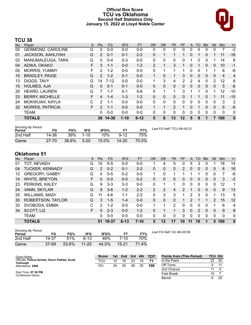# **Official Box Score TCU vs Oklahoma Second Half Statistics Only January 15, 2022 at Lloyd Noble Center**



# **TCU 38**

| No. | Player                   | S  | Pts            | FG       | 3FG      | <b>FT</b> | <b>OR</b>     | <b>DR</b>    | TR             | PF            | $\mathsf{A}$ | TO.      | <b>B</b> lk  | Stl          | <b>Min</b>     | $+/-$          |
|-----|--------------------------|----|----------------|----------|----------|-----------|---------------|--------------|----------------|---------------|--------------|----------|--------------|--------------|----------------|----------------|
| 00  | <b>GERMOND, CAROLINE</b> | G  | 0              | $0 - 0$  | $0 - 0$  | $0 - 0$   | 0             | 0            | 0              | 0             | 0            | 0        | 0            | 0            | 7              | $-2$           |
| 01  | <b>JACKSON, AAHLIYAH</b> | G  | $\overline{2}$ | $0 - 1$  | 0-1      | $2 - 2$   | 0             | 1            | 1              | 1             | 0            |          | $\Omega$     |              | 11             | $-16$          |
| 02  | MANUMALEUGA, TARA        | G  | 0              | $0 - 4$  | $0 - 3$  | $0 - 0$   | 0             | $\mathbf{0}$ | 0              | 0             |              | 0        | $\Omega$     | 1            | 14             | 6              |
| 04  | ADIKA, OKAKO             | F. | 3              | $1 - 1$  | $0 - 0$  | $1 - 2$   | $\mathcal{P}$ | 1            | 3              | 1             | 0            |          | $\Omega$     | 0            | 10             | $-1$           |
| 05  | <b>MORRIS, YUMMY</b>     | F. | 2              | $1 - 2$  | $0 - 0$  | $0 - 0$   | 0             | 1            | 1              | 1             | 0            | 0        |              | 1            | 6              | -6             |
| 10  | <b>BRADLEY, PAIGE</b>    | G  | $\overline{2}$ | $1 - 2$  | $0 - 1$  | $0 - 0$   | 1             | $\Omega$     | 1              | 3             | 0            | 0        | $\mathbf{0}$ | $\mathbf{0}$ | $\overline{4}$ | $\overline{4}$ |
| 13  | DIGGS, TAVY              | G  | 14             | $7 - 12$ | $0 - 0$  | $0 - 0$   | 1             | 3            | 4              | $\mathcal{P}$ | 2            | 4        | $\Omega$     | 2            | 12             | 6              |
| 15  | <b>HOLMES, AJA</b>       | G  | $\Omega$       | $0 - 1$  | $0 - 1$  | $0 - 0$   | 0             | $\Omega$     | $\mathbf{0}$   | $\Omega$      | $\Omega$     | $\Omega$ | $\Omega$     | 0            | 5              | $-6$           |
| 20  | HEARD, LAUREN            | G  | 7              | $1 - 7$  | $0 - 1$  | $5-6$     | 0             | 1            | 1              | 3             |              | 1        | $\Omega$     | 1            | 12             | $-10$          |
| 23  | <b>BERRY, MICHELLE</b>   | F. | 4              | $1 - 4$  | $1 - 3$  | $1 - 2$   | $\Omega$      | $\Omega$     | $\mathbf{0}$   | 0             |              |          | $\Omega$     |              | 11             | $-15$          |
| 24  | MOKWUAH, KAYLA           | C  | $\mathcal{P}$  | $1 - 1$  | $0 - 0$  | $0 - 0$   | 0             | $\Omega$     | $\Omega$       | $\Omega$      | 0            | 0        | 0            | $\Omega$     | 3              | $\overline{2}$ |
| 32  | <b>MORRIS, PATRICIA</b>  | F. | 2              | $1 - 1$  | $0 - 0$  | $0 - 0$   | $\mathbf{1}$  | 1            | $\overline{2}$ | 1             | 0            |          | $\Omega$     | $\mathbf{0}$ | 5              | $-6$           |
|     | <b>TEAM</b>              |    | 0              | $0 - 0$  | $0 - 0$  | $0 - 0$   | 0             | $\mathbf{0}$ | $\Omega$       | 0             | 0            | 0        | 0            | $\Omega$     | $\Omega$       | 0              |
|     | <b>TOTALS</b>            |    |                | 38 14-36 | $1 - 10$ | $9 - 12$  | 5             | 8            | 13             | $12 \,$       | 5            | 9        |              |              | 100            | $\bf{0}$       |

| Shooting By Period<br>Period | FG        | FG%   | 3FG      | 3FG%     | FТ        | FT%   | Last FG Half: TCU 4th-00:21 |
|------------------------------|-----------|-------|----------|----------|-----------|-------|-----------------------------|
| 2nd Half                     | 14-36     | 39%   | $1 - 10$ | 10%      | $9 - 12$  | 75%   |                             |
| Game                         | $27 - 70$ | 38.6% | $3 - 20$ | $15.0\%$ | $14 - 20$ | 70.0% |                             |

# **Oklahoma 51**

| No. | Plaver                 | S. | <b>Pts</b>      | FG      | 3FG      | <b>FT</b> | <b>OR</b>      | DR       | TR           | <b>PF</b>      | A        | TO | <b>B</b> lk | Stl           | Min         | $+/-$        |
|-----|------------------------|----|-----------------|---------|----------|-----------|----------------|----------|--------------|----------------|----------|----|-------------|---------------|-------------|--------------|
| 01  | TOT, NEVAEH            | G  | 10 <sup>1</sup> | $5 - 5$ | $0 - 0$  | $0 - 0$   |                | 4        | 5            | 0              | 5        | 3  | 0           |               | 18          | 14           |
| 04  | <b>TUCKER, KENNADY</b> | G  | $\overline{2}$  | $0 - 2$ | $0 - 1$  | $2 - 2$   | 0              | 0        | $\Omega$     | $\overline{2}$ | $\Omega$ | 0  | 0           | 0             | 8           | 16           |
| 12  | <b>GREGORY, GABBY</b>  | G  | 0               | $0 - 5$ | $0 - 2$  | $0 - 0$   |                | 0        |              |                |          |    | 0           | 0             |             | -6           |
| 14  | WHITE, BRE'YON         | F. | 0               | $0 - 0$ | $0 - 0$  | $0 - 2$   | 0              | 0        | $\mathbf{0}$ | 0              | 0        | 0  | 0           | 0             | 3           | $-2$         |
| 23  | PERKINS, KALEY         | G  | 9               | $3 - 3$ | $3 - 3$  | $0 - 0$   | 0              |          | 1            | 0              | 0        | 0  | 0           | 0             | 12          | 1            |
| 24  | VANN, SKYLAR           | G  | 9               | $3-6$   | $1 - 2$  | $2 - 2$   | $\overline{2}$ | 2        | 4            | $\mathcal{P}$  |          | 0  | 0           | $\Omega$      | 9           | 13           |
| 25  | <b>WILLIAMS, MADI</b>  | G  | 11              | $4-6$   | $1 - 1$  | $2 - 2$   | 0              | 3        | 3            |                | 2        | 3  | 0           |               | 13          | 5            |
| 30  | ROBERTSON, TAYLOR      | G  | 3               | $1 - 5$ | $1 - 4$  | $0 - 0$   | $\Omega$       | $\Omega$ | $\Omega$     |                | 2        |    |             | $\mathcal{P}$ | 15          | 12           |
| 33  | SVOBODA, EMMA          | С  | 2               | $1 - 2$ | $0 - 0$  | $0 - 0$   |                |          | 2            | 0              | 0        | 0  | 0           |               | 6           | 4            |
| 34  | SCOTT, LIZ             | F. | 5               | $2 - 3$ | $0 - 0$  | $1 - 2$   | 0              |          |              | 3              | 0        | 2  | 0           | $\Omega$      | 9           | 8            |
|     | <b>TEAM</b>            |    | 0               | $0 - 0$ | $0 - 0$  | $0 - 0$   | 0              | 0        | $\Omega$     | 0              | 0        | 0  | 0           | 0             | $\mathbf 0$ | 0            |
|     | <b>TOTALS</b>          |    | 51              | 19-37   | $6 - 13$ | $7 - 10$  | 5.             | 12       | 17           | 10             | 11       | 10 |             | 5             | 100         | $\mathbf{0}$ |

| <b>Shooting By Period</b><br>Period | FG    | FG%   | 3FG       | 3FG%  | FТ        | FT%   | Last F |
|-------------------------------------|-------|-------|-----------|-------|-----------|-------|--------|
| 2nd Half                            | 19-37 | 51%   | $6-13$    | 46%   | 7-10      | 70%   |        |
| Game                                | 37-69 | 53.6% | $11 - 25$ | 44.0% | $15 - 21$ | 71.4% |        |

*Last FG Half:* OU 4th-00:56

| Game Notes:                                                  | <b>Score</b> | 1st l | 2nd | 3rd | 4th | <b>TOT</b> | <b>Points from (This Period)</b> | <b>TCU OU</b> |    |
|--------------------------------------------------------------|--------------|-------|-----|-----|-----|------------|----------------------------------|---------------|----|
| Officials: Felicia Grinter, Kevin Pethtel, Scott<br>Yarbough | TCU          | 15    | 18  | 23  |     |            | In the Paint                     | 22            | 20 |
| Attendance: 2460                                             | OU           | 24    | 25  | 26  | 25  | 100        | Off Turns                        |               |    |
|                                                              |              |       |     |     |     |            | 2nd Chance                       |               |    |
| Start Time: 07:30 PM<br>Conference Game:                     |              |       |     |     |     |            | Fast Break                       | 10            |    |
|                                                              |              |       |     |     |     |            | Bench                            |               | 20 |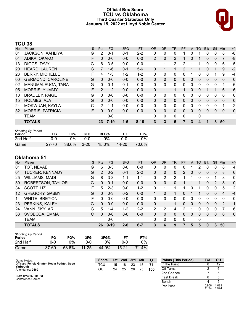### **Official Box Score TCU vs Oklahoma Third Quarter Statistics Only January 15, 2022 at Lloyd Noble Center**



# **TCU 38**

| No. | Player                   | S | <b>Pts</b>     | <b>FG</b> | 3FG     | <b>FT</b> | <b>OR</b>      | DR.      | TR | <b>PF</b> | A            | TO           | <b>BIK</b> | Stl          | Min | $+/-$       |
|-----|--------------------------|---|----------------|-----------|---------|-----------|----------------|----------|----|-----------|--------------|--------------|------------|--------------|-----|-------------|
| 01  | JACKSON, AAHLIYAH        | G | 2              | $0 - 1$   | $0 - 1$ | $2 - 2$   | 0              | 0        | 0  |           | 0            |              | 0          | 0            | 8   | $-8$        |
| 04  | ADIKA, OKAKO             | F | 0              | $0 - 0$   | $0 - 0$ | $0 - 0$   | $\overline{2}$ | $\Omega$ | 2  |           | 0            |              | 0          | 0            |     | -8          |
| 13  | DIGGS, TAVY              | G | 6              | $3-5$     | $0 - 0$ | $0-0$     | 1              |          | 2  | 2         |              |              | 0          | 0            | 6   | 5           |
| 20  | HEARD, LAUREN            | G |                | 1-6       | $0 - 1$ | $5-6$     | 0              |          |    | 2         |              |              | 0          |              | 9   | $-2$        |
| 23  | <b>BERRY, MICHELLE</b>   | F | 4              | $1 - 3$   | $1 - 2$ | $1 - 2$   | 0              | 0        | 0  | 0         |              | 0            | 0          |              | 9   | -4          |
| 00  | <b>GERMOND, CAROLINE</b> | G | 0              | $0 - 0$   | $0 - 0$ | $0 - 0$   | $\mathbf{0}$   | 0        | 0  | 0         | $\mathbf{0}$ | $\mathbf{0}$ | 0          | $\mathbf{0}$ | 0   | $\mathbf 0$ |
| 02  | MANUMALEUGA, TARA        | G | 0              | $0 - 1$   | $0 - 1$ | $0-0$     | 0              | 0        | 0  | 0         | 0            | 0            | 0          | $\Omega$     | 4   | 6           |
| 05  | <b>MORRIS, YUMMY</b>     | F | $\overline{2}$ | $1 - 2$   | $0 - 0$ | $0 - 0$   | $\Omega$       |          | 1  |           | 0            | $\Omega$     |            |              | 6   | $-6$        |
| 10  | <b>BRADLEY, PAIGE</b>    | G | 0              | $0 - 0$   | $0 - 0$ | $0 - 0$   | 0              | 0        | 0  | 0         | 0            | 0            | 0          | 0            | 0   | 0           |
| 15  | <b>HOLMES, AJA</b>       | G | $\Omega$       | $0 - 0$   | $0 - 0$ | $0 - 0$   | $\mathbf{0}$   | 0        | 0  | 0         | $\mathbf{0}$ | $\Omega$     | 0          | $\mathbf{0}$ | 0   | 0           |
| 24  | MOKWUAH, KAYLA           | C | 2              | 1-1       | $0 - 0$ | $0 - 0$   | 0              | 0        | 0  | 0         | 0            | 0            | 0          | 0            |     | 2           |
| 32  | <b>MORRIS, PATRICIA</b>  | F | 0              | $0 - 0$   | $0 - 0$ | $0 - 0$   | $\Omega$       | 0        | 0  | 0         | $\mathbf{0}$ | $\Omega$     | 0          | $\mathbf{0}$ | 0   | $\mathbf 0$ |
|     | TEAM                     |   |                | $0 - 0$   |         |           | 0              | 0        | 0  | 0         |              | 0            |            |              |     |             |
|     | <b>TOTALS</b>            |   | 23             | $7-19$    | $1 - 5$ | $8 - 10$  | 3              | 3        | 6  |           | 3            | 4            | 1          | 3            | 50  |             |

| <b>Shooting By Period</b><br>Period | FG        | FG%   | 3FG      | 3FG%  |       | FT%   |
|-------------------------------------|-----------|-------|----------|-------|-------|-------|
| 2nd Half                            | ი-ი       | 0%    | റ-റ      | ገ%    | ი-ი   | 0%    |
| Game                                | $27 - 70$ | 38.6% | $3 - 20$ | 15.0% | 14-20 | 70.0% |

# **Oklahoma 51**

| No. | Player                 | S | Pts      | FG       | 3FG     | <b>FT</b> | <b>OR</b>     | <b>DR</b> | TR           | PF | A            | TO       | <b>Blk</b> | <b>Stl</b>   | Min      | $+/-$          |
|-----|------------------------|---|----------|----------|---------|-----------|---------------|-----------|--------------|----|--------------|----------|------------|--------------|----------|----------------|
| 01  | TOT, NEVAEH            | G | 6        | $3-3$    | $0 - 0$ | $0 - 0$   | 0             | 0         | 0            | 0  |              |          | 0          | 0            | 8        | 4              |
| 04  | <b>TUCKER, KENNADY</b> | G | 2        | $0 - 2$  | $0 - 1$ | $2 - 2$   | 0             | 0         | 0            | 2  | 0            | 0        | 0          | $\mathbf{0}$ | 8        | 6              |
| 25  | <b>WILLIAMS, MADI</b>  | G | 8        | $3 - 3$  | 1-1     | 1-1       | 0             | 2         | 2            |    |              | 0        | 0          |              | 8        | 0              |
| 30  | ROBERTSON, TAYLOR      | G | 0        | $0 - 1$  | $0 - 0$ | $0 - 0$   | $\Omega$      | 0         | 0            |    |              |          | 0          | 2            | 8        | $\Omega$       |
| 34  | SCOTT, LIZ             | F | 5        | $2 - 3$  | $0 - 0$ | $1 - 2$   | 0             | 1         | 1            |    | 0            |          | 0          | $\Omega$     | 5        | $\overline{2}$ |
| 12  | <b>GREGORY, GABBY</b>  | G | 0        | $0 - 3$  | $0 - 2$ | $0 - 0$   | 1.            | $\Omega$  | 1.           | 0  |              |          | 0          | $\Omega$     | 4        | $-4$           |
| 14  | WHITE, BRE'YON         | F | 0        | $0 - 0$  | $0 - 0$ | $0 - 0$   | 0             | 0         | 0            | 0  | 0            | 0        | 0          | 0            | $\Omega$ | 0              |
| 23  | PERKINS, KALEY         | G | $\Omega$ | $0 - 0$  | $0 - 0$ | $0 - 0$   | 0             |           | 1.           | 0  | $\mathbf{0}$ | $\Omega$ | 0          | $\mathbf{0}$ | 2        | 1              |
| 24  | VANN, SKYLAR           | G | 5        | 1-4      | $1 - 2$ | $2 - 2$   | $\mathcal{P}$ | 2         | 4            | 2  |              | $\Omega$ | 0          | $\Omega$     |          | 6              |
| 33  | SVOBODA, EMMA          | C | 0        | $0 - 0$  | $0 - 0$ | $0 - 0$   | 0             | 0         | 0            | 0  | $\Omega$     | $\Omega$ | 0          | $\Omega$     | 0        | $\mathbf{0}$   |
|     | <b>TEAM</b>            |   |          | $0 - 0$  |         |           | 0             | 0         | $\mathbf{0}$ | 0  |              | 0        |            |              |          |                |
|     | <b>TOTALS</b>          |   | 26       | $9 - 19$ | $2 - 6$ | $6 - 7$   | 3             | 6         | 9            | 7  | 5            | 5        | 0          | 3            | 50       |                |

| Shooting By Period<br>Period | FG        | FG%   | 3FG       | 3FG%  | FТ        | FT%   |
|------------------------------|-----------|-------|-----------|-------|-----------|-------|
| 2nd Half                     | ი-ი       | 0%    | ባ-በ       | $0\%$ | 0-0       | 0%    |
| Game                         | $37 - 69$ | 53.6% | $11 - 25$ | 44.0% | $15 - 21$ | 71.4% |

| Game Notes:                                      | <b>Score</b> |    | 1st 2nd | 3rd | 4th | <b>TOT</b> | <b>Points (This Period)</b> | TCU            | OU             |
|--------------------------------------------------|--------------|----|---------|-----|-----|------------|-----------------------------|----------------|----------------|
| Officials: Felicia Grinter, Kevin Pethtel, Scott | TCU          | 15 | 18      | 23  | 15  | 71         | In the Paint                |                |                |
| Yarbough<br>Attendance: 2460                     | OU           | 24 | 25      | 26  | 25  | 100        | Off Turns                   |                |                |
|                                                  |              |    |         |     |     |            | 2nd Chance                  |                |                |
| Start Time: 07:30 PM<br>Conference Game:         |              |    |         |     |     |            | <b>Fast Break</b>           |                |                |
|                                                  |              |    |         |     |     |            | Bench                       |                |                |
|                                                  |              |    |         |     |     |            | Per Poss                    | 0.958<br>11/24 | 1.083<br>12/24 |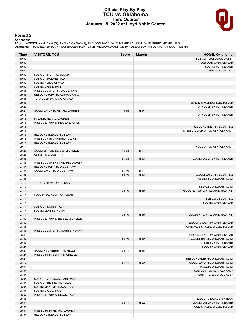### **Official Play-By-Play TCU vs Oklahoma Third Quarter January 15, 2022 at Lloyd Noble Center**



# **Period 3**

<mark>Starters:</mark><br>TCU: 1 JACKSON,AAHLIYAH (G); 4 ADIKA,OKAKO (F); 13 DIGGS,TAVY (G); 20 HEARD,LAUREN (G); 23 BERRY,MICHELLE (F);<br>**Oklahoma**: 1 TOT,NEVAEH (G); 4 TUCKER,KENNADY (G); 25 WILLIAMS,MADI (G); 30 ROBERTSON,TAYLOR (G);

| Time           | <b>VISITORS: TCU</b>            | <b>Score</b> | <b>Margin</b> | <b>HOME: Oklahoma</b>                                 |
|----------------|---------------------------------|--------------|---------------|-------------------------------------------------------|
| 10:00          |                                 |              |               | SUB OUT: GREGORY, GABBY                               |
| 10:00          |                                 |              |               | SUB OUT: VANN, SKYLAR                                 |
| 10:00          |                                 |              |               | SUB IN: TOT, NEVAEH                                   |
| 10:00          |                                 |              |               | SUB IN: SCOTT, LIZ                                    |
| 10:00          | SUB OUT: MORRIS, YUMMY          |              |               |                                                       |
| 10:00          | SUB OUT: HOLMES, AJA            |              |               |                                                       |
| 10:00          | SUB IN: ADIKA, OKAKO            |              |               |                                                       |
| 10:00          | SUB IN: DIGGS, TAVY             |              |               |                                                       |
| 09:48          | MISSED JUMPER by DIGGS, TAVY    |              |               |                                                       |
| 09:36          | REBOUND (OFF) by ADIKA, OKAKO   |              |               |                                                       |
| 09:35<br>09:35 | TURNOVER by ADIKA, OKAKO        |              |               |                                                       |
| 09:29          |                                 |              |               | STEAL by ROBERTSON, TAYLOR<br>TURNOVER by TOT, NEVAEH |
| 09:21          | GOOD! LAYUP by HEARD, LAUREN    | 49-35        | H 14          |                                                       |
| 09:18          |                                 |              |               | TURNOVER by TOT, NEVAEH                               |
| 09:18          | STEAL by HEARD, LAUREN          |              |               |                                                       |
| 09:18          | MISSED LAYUP by HEARD, LAUREN   |              |               |                                                       |
| 09:18          |                                 |              |               | REBOUND (DEF) by SCOTT, LIZ                           |
| 09:16          |                                 |              |               | MISSED LAYUP by TUCKER, KENNADY                       |
| 09:16          | REBOUND (DEADB) by TEAM         |              |               |                                                       |
| 09:16          | MISSED 3PTR by HEARD, LAUREN    |              |               |                                                       |
| 09:14          | REBOUND (DEADB) by TEAM         |              |               |                                                       |
| 09:14          |                                 |              |               | FOUL by TUCKER, KENNADY                               |
| 08:29          | GOOD! 3PTR by BERRY, MICHELLE   | 49-38        | H 11          |                                                       |
| 08:29          | ASSIST by DIGGS, TAVY           |              |               |                                                       |
| 08:08          |                                 | 51-38        | H 13          | GOOD! LAYUP by TOT, NEVAEH                            |
| 07:49          | MISSED JUMPER by HEARD, LAUREN  |              |               |                                                       |
| 07:44          | REBOUND (OFF) by DIGGS, TAVY    |              |               |                                                       |
| 07:44          | GOOD! LAYUP by DIGGS, TAVY      | 51-40        | H 11<br>H 13  |                                                       |
| 07:35<br>07:35 |                                 | 53-40        |               | GOOD! LAYUP by SCOTT, LIZ<br>ASSIST by WILLIAMS, MADI |
| 07:19          | TURNOVER by DIGGS, TAVY         |              |               |                                                       |
| 07:19          |                                 |              |               | STEAL by WILLIAMS, MADI                               |
| 07:14          |                                 | 55-40        | H 15          | GOOD! LAYUP by WILLIAMS, MADI [FB]                    |
| 07:14          | FOUL by JACKSON, AAHLIYAH       |              |               |                                                       |
| 07:14          |                                 |              |               | SUB OUT: SCOTT, LIZ                                   |
| 07:14          |                                 |              |               | SUB IN: VANN, SKYLAR                                  |
| 07:14          | SUB OUT: DIGGS, TAVY            |              |               |                                                       |
| 07:14          | SUB IN: MORRIS, YUMMY           |              |               |                                                       |
| 07:14          |                                 | 56-40        | H 16          | GOOD! FT by WILLIAMS, MADI [FB]                       |
| 07:03          | MISSED LAYUP by BERRY, MICHELLE |              |               |                                                       |
| 06:59          |                                 |              |               | REBOUND (DEF) by VANN, SKYLAR                         |
| 06:55          |                                 |              |               | TURNOVER by ROBERTSON, TAYLOR                         |
| 06:46          | MISSED JUMPER by MORRIS, YUMMY  |              |               |                                                       |
| 06:43          |                                 |              |               | REBOUND (DEF) by VANN, SKYLAR                         |
| 06:37          |                                 | 59-40        | H 19          | GOOD! 3PTR by WILLIAMS, MADI                          |
| 06:37<br>06:24 |                                 |              |               | ASSIST by TOT, NEVAEH<br>FOUL by VANN, SKYLAR         |
| 06:24          | GOOD! FT by BERRY, MICHELLE     | 59-41        | H 18          |                                                       |
| 06:24          | MISSED FT by BERRY, MICHELLE    |              |               |                                                       |
| 06:24          |                                 |              |               | REBOUND (DEF) by WILLIAMS, MADI                       |
| 06:10          |                                 | 61-41        | H 20          | GOOD! LAYUP by WILLIAMS, MADI                         |
| 06:04          |                                 |              |               | FOUL by WILLIAMS, MADI                                |
| 06:04          |                                 |              |               | SUB OUT: TUCKER, KENNADY                              |
| 06:04          |                                 |              |               | SUB IN: GREGORY, GABBY                                |
| 06:04          | SUB OUT: JACKSON, AAHLIYAH      |              |               |                                                       |
| 06:04          | SUB OUT: BERRY, MICHELLE        |              |               |                                                       |
| 06:04          | SUB IN: MANUMALEUGA, TARA       |              |               |                                                       |
| 06:04          | SUB IN: DIGGS, TAVY             |              |               |                                                       |
| 05:57          | MISSED LAYUP by DIGGS, TAVY     |              |               |                                                       |
| 05:55          |                                 |              |               | REBOUND (DEADB) by TEAM                               |
| 05:44          |                                 | 63-41        | H 22          | GOOD! LAYUP by TOT, NEVAEH                            |
| 05:34          |                                 |              |               | FOUL by ROBERTSON, TAYLOR                             |
| 05:34          | MISSED FT by HEARD, LAUREN      |              |               |                                                       |
| 05:34          | REBOUND (DEADB) by TEAM         |              |               |                                                       |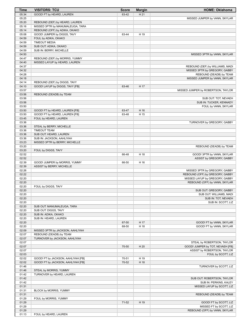| Time           | <b>VISITORS: TCU</b>                                         | <b>Score</b> | <b>Margin</b> | <b>HOME: Oklahoma</b>                                             |
|----------------|--------------------------------------------------------------|--------------|---------------|-------------------------------------------------------------------|
| 05:34          | GOOD! FT by HEARD, LAUREN                                    | 63-42        | H 21          |                                                                   |
| 05:25          |                                                              |              |               | MISSED JUMPER by VANN, SKYLAR                                     |
| 05:20          | REBOUND (DEF) by HEARD, LAUREN                               |              |               |                                                                   |
| 05:16<br>05:14 | MISSED 3PTR by MANUMALEUGA, TARA                             |              |               |                                                                   |
| 05:08          | REBOUND (OFF) by ADIKA, OKAKO<br>GOOD! JUMPER by DIGGS, TAVY | 63-44        | H 19          |                                                                   |
| 04:59          | FOUL by ADIKA, OKAKO                                         |              |               |                                                                   |
| 04:59          | <b>TIMEOUT MEDIA</b>                                         |              |               |                                                                   |
| 04:59          | SUB OUT: ADIKA, OKAKO                                        |              |               |                                                                   |
| 04:59          | SUB IN: BERRY, MICHELLE                                      |              |               |                                                                   |
| 04:50          |                                                              |              |               | MISSED 3PTR by VANN, SKYLAR                                       |
| 04:47          | REBOUND (DEF) by MORRIS, YUMMY                               |              |               |                                                                   |
| 04:40          | MISSED LAYUP by HEARD, LAUREN                                |              |               |                                                                   |
| 04:37<br>04:32 |                                                              |              |               | REBOUND (DEF) by WILLIAMS, MADI<br>MISSED 3PTR by GREGORY, GABBY  |
| 04:28          |                                                              |              |               | REBOUND (DEADB) by TEAM                                           |
| 04:18          |                                                              |              |               | MISSED JUMPER by VANN, SKYLAR                                     |
| 04:14          | REBOUND (DEF) by DIGGS, TAVY                                 |              |               |                                                                   |
| 04:10          | GOOD! LAYUP by DIGGS, TAVY [FB]                              | 63-46        | H 17          |                                                                   |
| 03:57          |                                                              |              |               | MISSED JUMPER by ROBERTSON, TAYLOR                                |
| 03:56          | REBOUND (DEADB) by TEAM                                      |              |               |                                                                   |
| 03:56          |                                                              |              |               | SUB OUT: TOT, NEVAEH                                              |
| 03:56<br>03:50 |                                                              |              |               | SUB IN: TUCKER, KENNADY<br>FOUL by VANN, SKYLAR                   |
| 03:50          | GOOD! FT by HEARD, LAUREN [FB]                               | 63-47        | H 16          |                                                                   |
| 03:50          | GOOD! FT by HEARD, LAUREN [FB]                               | 63-48        | H 15          |                                                                   |
| 03:45          | FOUL by HEARD, LAUREN                                        |              |               |                                                                   |
| 03:36          |                                                              |              |               | TURNOVER by GREGORY, GABBY                                        |
| 03:36          | STEAL by BERRY, MICHELLE                                     |              |               |                                                                   |
| 03:36          | <b>TIMEOUT TEAM</b>                                          |              |               |                                                                   |
| 03:36          | SUB OUT: HEARD, LAUREN                                       |              |               |                                                                   |
| 03:36<br>03:23 | SUB IN: JACKSON, AAHLIYAH                                    |              |               |                                                                   |
| 03:20          | MISSED 3PTR by BERRY, MICHELLE                               |              |               | REBOUND (DEADB) by TEAM                                           |
| 03:20          | FOUL by DIGGS, TAVY                                          |              |               |                                                                   |
| 02:52          |                                                              | 66-48        | H 18          | GOOD! 3PTR by VANN, SKYLAR                                        |
| 02:52          |                                                              |              |               | ASSIST by GREGORY, GABBY                                          |
| 02:39          | GOOD! JUMPER by MORRIS, YUMMY                                | 66-50        | H 16          |                                                                   |
| 02:39          | ASSIST by BERRY, MICHELLE                                    |              |               |                                                                   |
| 02:26          |                                                              |              |               | MISSED 3PTR by GREGORY, GABBY                                     |
| 02:22<br>02:20 |                                                              |              |               | REBOUND (OFF) by GREGORY, GABBY<br>MISSED LAYUP by GREGORY, GABBY |
| 02:20          |                                                              |              |               | REBOUND (OFF) by VANN, SKYLAR                                     |
| 02:20          | FOUL by DIGGS, TAVY                                          |              |               |                                                                   |
| 02:20          |                                                              |              |               | SUB OUT: GREGORY, GABBY                                           |
| 02:20          |                                                              |              |               | SUB OUT: WILLIAMS, MADI                                           |
| 02:20          |                                                              |              |               | SUB IN: TOT, NEVAEH                                               |
| 02:20          |                                                              |              |               | SUB IN: SCOTT, LIZ                                                |
| 02:20          | SUB OUT: MANUMALEUGA, TARA                                   |              |               |                                                                   |
| 02:20<br>02:20 | SUB OUT: DIGGS, TAVY<br>SUB IN: ADIKA, OKAKO                 |              |               |                                                                   |
| 02:20          | SUB IN: HEARD, LAUREN                                        |              |               |                                                                   |
| 02:20          |                                                              | 67-50        | H 17          | GOOD! FT by VANN, SKYLAR                                          |
| 02:20          |                                                              | 68-50        | H 18          | GOOD! FT by VANN, SKYLAR                                          |
| 02:09          | MISSED 3PTR by JACKSON, AAHLIYAH                             |              |               |                                                                   |
| 02:07          | REBOUND (DEADB) by TEAM                                      |              |               |                                                                   |
| 02:07          | TURNOVER by JACKSON, AAHLIYAH                                |              |               |                                                                   |
| 02:07<br>02:07 |                                                              | 70-50        | H 20          | STEAL by ROBERTSON, TAYLOR<br>GOOD! JUMPER by TOT, NEVAEH [FB]    |
| 02:07          |                                                              |              |               | ASSIST by ROBERTSON, TAYLOR                                       |
| 02:03          |                                                              |              |               | FOUL by SCOTT, LIZ                                                |
| 02:02          | GOOD! FT by JACKSON, AAHLIYAH [FB]                           | 70-51        | H 19          |                                                                   |
| 02:02          | GOOD! FT by JACKSON, AAHLIYAH [FB]                           | 70-52        | H 18          |                                                                   |
| 01:46          |                                                              |              |               | TURNOVER by SCOTT, LIZ                                            |
| 01:46          | STEAL by MORRIS, YUMMY                                       |              |               |                                                                   |
| 01:42          | TURNOVER by HEARD, LAUREN                                    |              |               |                                                                   |
| 01:42          |                                                              |              |               | SUB OUT: ROBERTSON, TAYLOR                                        |
| 01:42<br>01:31 |                                                              |              |               | SUB IN: PERKINS, KALEY<br>MISSED LAYUP by SCOTT, LIZ              |
| 01:31          | BLOCK by MORRIS, YUMMY                                       |              |               |                                                                   |
| 01:31          |                                                              |              |               | REBOUND (DEADB) by TEAM                                           |
| 01:29          | FOUL by MORRIS, YUMMY                                        |              |               |                                                                   |
| 01:29          |                                                              | 71-52        | H 19          | GOOD! FT by SCOTT, LIZ                                            |
| 01:29          |                                                              |              |               | MISSED FT by SCOTT, LIZ                                           |
| 01:29          |                                                              |              |               | REBOUND (OFF) by VANN, SKYLAR                                     |
| 01:13          | FOUL by HEARD, LAUREN                                        |              |               |                                                                   |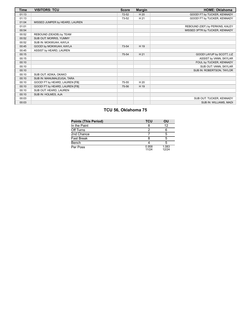| Time  | <b>VISITORS: TCU</b>           | <b>Score</b> | <b>Margin</b> | <b>HOME: Oklahoma</b>           |
|-------|--------------------------------|--------------|---------------|---------------------------------|
| 01:13 |                                | $72 - 52$    | H 20          | GOOD! FT by TUCKER, KENNADY     |
| 01:13 |                                | 73-52        | H 21          | GOOD! FT by TUCKER, KENNADY     |
| 01:04 | MISSED JUMPER by HEARD, LAUREN |              |               |                                 |
| 01:01 |                                |              |               | REBOUND (DEF) by PERKINS, KALEY |
| 00:54 |                                |              |               | MISSED 3PTR by TUCKER, KENNADY  |
| 00:52 | REBOUND (DEADB) by TEAM        |              |               |                                 |
| 00:52 | SUB OUT: MORRIS, YUMMY         |              |               |                                 |
| 00:52 | SUB IN: MOKWUAH, KAYLA         |              |               |                                 |
| 00:45 | GOOD! by MOKWUAH, KAYLA        | 73-54        | H 19          |                                 |
| 00:45 | ASSIST by HEARD, LAUREN        |              |               |                                 |
| 00:15 |                                | 75-54        | H 21          | GOOD! LAYUP by SCOTT, LIZ       |
| 00:15 |                                |              |               | ASSIST by VANN, SKYLAR          |
| 00:10 |                                |              |               | FOUL by TUCKER, KENNADY         |
| 00:10 |                                |              |               | SUB OUT: VANN, SKYLAR           |
| 00:10 |                                |              |               | SUB IN: ROBERTSON, TAYLOR       |
| 00:10 | SUB OUT: ADIKA, OKAKO          |              |               |                                 |
| 00:10 | SUB IN: MANUMALEUGA, TARA      |              |               |                                 |
| 00:10 | GOOD! FT by HEARD, LAUREN [FB] | 75-55        | H 20          |                                 |
| 00:10 | GOOD! FT by HEARD, LAUREN [FB] | 75-56        | H 19          |                                 |
| 00:10 | SUB OUT: HEARD, LAUREN         |              |               |                                 |
| 00:10 | SUB IN: HOLMES, AJA            |              |               |                                 |
| 00:03 |                                |              |               | SUB OUT: TUCKER, KENNADY        |
| 00:03 |                                |              |               | SUB IN: WILLIAMS, MADI          |

# **TCU 56, Oklahoma 75**

| <b>Points (This Period)</b> | <b>TCU</b>     | OU             |
|-----------------------------|----------------|----------------|
| In the Paint                |                | 12             |
| Off Turns                   |                |                |
| 2nd Chance                  |                | 5              |
| Fast Break                  |                | 5              |
| Bench                       |                |                |
| Per Poss                    | 0.958<br>11/24 | 1.083<br>12/24 |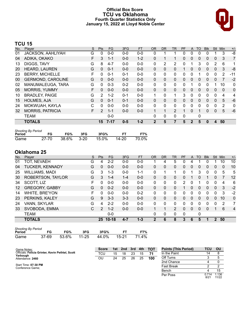# **Official Box Score TCU vs Oklahoma Fourth Quarter Statistics Only January 15, 2022 at Lloyd Noble Center**



# **TCU 15**

| Player                   | S | <b>Pts</b> | <b>FG</b> | 3FG     | <b>FT</b> | <b>OR</b>    | <b>DR</b>    | TR             | PF       |              | TO       | <b>BIK</b> | <b>Stl</b>   | Min      | $+/-$        |
|--------------------------|---|------------|-----------|---------|-----------|--------------|--------------|----------------|----------|--------------|----------|------------|--------------|----------|--------------|
| <b>JACKSON, AAHLIYAH</b> | G | 0          | $0 - 0$   | $0 - 0$ | $0 - 0$   | 0            |              |                | 0        | 0            | 0        | 0          |              | 3        | $-8$         |
| ADIKA, OKAKO             | F | 3          | $1 - 1$   | $0 - 0$ | $1 - 2$   | 0            |              |                | 0        | $\mathbf{0}$ | 0        | 0          | $\mathbf{0}$ | 3        | 7            |
| DIGGS, TAVY              | G | 8          | $4 - 7$   | $0 - 0$ | $0 - 0$   | 0            | 2            | 2              | 0        |              | 3        | 0          | 2            | 6        | 1            |
| <b>HEARD, LAUREN</b>     | G | 0          | $0 - 1$   | $0 - 0$ | $0 - 0$   | 0            | $\mathbf{0}$ | 0              |          | $\Omega$     | 0        | 0          | $\mathbf{0}$ | 3        | -8           |
| <b>BERRY, MICHELLE</b>   | F | 0          | $0 - 1$   | $0 - 1$ | $0 - 0$   | $\Omega$     | $\mathbf{0}$ | 0              | 0        | $\Omega$     |          | 0          | $\Omega$     | 2        | -11          |
| <b>GERMOND, CAROLINE</b> | G | 0          | $0 - 0$   | $0 - 0$ | $0 - 0$   | $\Omega$     | $\mathbf{0}$ | 0              | $\Omega$ | $\Omega$     | 0        | 0          | $\mathbf{0}$ | 7        | $-2$         |
| MANUMALEUGA, TARA        | G | $\Omega$   | $0 - 3$   | $0 - 2$ | $0 - 0$   | $\mathbf{0}$ | 0            | 0              | $\Omega$ |              | 0        | 0          |              | 10       | $\mathbf{0}$ |
| <b>MORRIS, YUMMY</b>     | F | $\Omega$   | $0 - 0$   | $0 - 0$ | $0 - 0$   | $\Omega$     | $\mathbf{0}$ | 0              | $\Omega$ | $\Omega$     | $\Omega$ | $\Omega$   | $\Omega$     | $\Omega$ | 0            |
| <b>BRADLEY, PAIGE</b>    | G | 2          | $1 - 2$   | $0 - 1$ | $0 - 0$   | 1            | $\Omega$     | $\mathbf 1$    | 3        | $\Omega$     | $\Omega$ | 0          | $\Omega$     | 4        | 4            |
| <b>HOLMES, AJA</b>       | G | 0          | $0 - 1$   | $0 - 1$ | $0 - 0$   | $\Omega$     | $\Omega$     | 0              | $\Omega$ | $\Omega$     | 0        | 0          | $\Omega$     | 5        | $-6$         |
| MOKWUAH, KAYLA           | C | 0          | $0 - 0$   | $0 - 0$ | $0 - 0$   | $\Omega$     | $\Omega$     | 0              | 0        | $\Omega$     | $\Omega$ | 0          | $\Omega$     | 2        | 0            |
| <b>MORRIS, PATRICIA</b>  | F | 2          | $1 - 1$   | $0 - 0$ | $0 - 0$   | 1            | 1            | $\overline{2}$ |          | $\Omega$     |          | 0          | $\mathbf{0}$ | 5        | $-6$         |
| TEAM                     |   |            | $0 - 0$   |         |           | 0            | $\mathbf{0}$ | 0              | 0        |              | 0        |            |              |          |              |
| <b>TOTALS</b>            |   | 15         | $7 - 17$  | $0 - 5$ | $1 - 2$   | $\mathbf{2}$ | 5            | 7              | 5        | 2            | 5        | 0          | 4            | 50       |              |
|                          |   |            |           |         |           |              |              |                |          |              |          | A          |              |          |              |

| <b>Shooting By Period</b> |       |       |        |       |       |       |  |  |  |  |  |
|---------------------------|-------|-------|--------|-------|-------|-------|--|--|--|--|--|
| Period                    | FG    | FG%   | 3FG    | 3FG%  |       | FT%   |  |  |  |  |  |
| Game                      | 27-70 | 38.6% | - 3-20 | 15.0% | 14-20 | 70.0% |  |  |  |  |  |

# **Oklahoma 25**

| No.     | Player                 | S  | <b>Pts</b>      | <b>FG</b> | 3FG     | <b>FT</b> | 0R       | <b>DR</b> | <b>TR</b>      | PF | A        | TO           | <b>B</b> lk | Stl      | Min | $+/-$    |
|---------|------------------------|----|-----------------|-----------|---------|-----------|----------|-----------|----------------|----|----------|--------------|-------------|----------|-----|----------|
| 01      | TOT, NEVAEH            | G  | 4               | $2 - 2$   | $0 - 0$ | $0 - 0$   |          | 4         | 5              | 0  | 4        |              | 0           |          | 10  | 10       |
| 04      | <b>TUCKER, KENNADY</b> | G  | 0               | $0 - 0$   | $0 - 0$ | $0 - 0$   | 0        | 0         | 0              | 0  | 0        | $\Omega$     | 0           | $\Omega$ | 0   | 10       |
| 25      | WILLIAMS, MADI         | G  | 3               | $1 - 3$   | $0 - 0$ | $1 - 1$   | 0        |           | 1              | 0  |          | 3            | 0           | 0        | 5   | 5        |
| 30      | ROBERTSON, TAYLOR      | G  | 3               | 1-4       | $1 - 4$ | $0 - 0$   | $\Omega$ | 0         | 0              | 0  |          | 0            |             | 0        |     | 12       |
| 34      | SCOTT, LIZ             | F  | 0               | $0 - 0$   | $0 - 0$ | $0 - 0$   | 0        | 0         | 0              | 2  | 0        |              | 0           | $\Omega$ | 4   | 6        |
| $12 \,$ | <b>GREGORY, GABBY</b>  | G  | 0               | $0 - 2$   | $0 - 0$ | $0 - 0$   | 0        | 0         | 0              |    | 0        | $\Omega$     | 0           | $\Omega$ | 3   | $-2$     |
| 14      | WHITE, BRE'YON         | F. | 0               | $0 - 0$   | $0 - 0$ | $0 - 2$   | 0        | 0         | $\mathbf{0}$   | 0  | 0        | <sup>0</sup> | 0           | 0        | 3   | $-2$     |
| 23      | PERKINS, KALEY         | G  | 9               | $3 - 3$   | $3 - 3$ | $0 - 0$   | $\Omega$ | 0         | $\Omega$       | 0  | $\Omega$ | $\Omega$     | 0           | $\Omega$ | 10  | $\Omega$ |
| 24      | VANN, SKYLAR           | G  | 4               | $2 - 2$   | $0 - 0$ | $0 - 0$   | 0        | 0         | $\mathbf{0}$   | 0  | 0        | $\Omega$     | 0           | $\Omega$ | 2   | 7        |
| 33      | SVOBODA, EMMA          | С  | 2               | $1 - 2$   | $0 - 0$ | $0 - 0$   |          |           | $\overline{2}$ | 0  | 0        | $\Omega$     | 0           |          | 6   | 4        |
|         | TEAM                   |    |                 | $0 - 0$   |         |           | 0        | 0         | 0              | 0  |          | 0            |             |          |     |          |
|         | <b>TOTALS</b>          |    | 25 <sub>1</sub> | $10 - 18$ | 4-7     | $1 - 3$   | 2        | 6         | 8              | 3  | 6        | 5            | 1           | 2        | 50  |          |

| <b>Shooting By Period</b> |       |                   |     |      |       |       |
|---------------------------|-------|-------------------|-----|------|-------|-------|
| Period                    | FG    | FG%               | 3FG | 3FG% |       | FT%   |
| Game                      | 37-69 | 53.6% 11-25 44.0% |     |      | 15-21 | 71.4% |

| Game Notes:                                      | <b>Score</b> |    | 1st 2nd | $\sim$ 3rd | 4th | <b>TOT</b> | <b>Points (This Period)</b> | TCU           | ου             |
|--------------------------------------------------|--------------|----|---------|------------|-----|------------|-----------------------------|---------------|----------------|
| Officials: Felicia Grinter, Kevin Pethtel, Scott | TCU          | 15 | 18      | 23         | 15  |            | In the Paint                |               |                |
| Yarbough<br>Attendance: 2460                     | OU           | 24 | 25      | 26         | 25  | 100        | Off Turns                   |               |                |
|                                                  |              |    |         |            |     |            | 2nd Chance                  |               |                |
| Start Time: 07:30 PM<br>Conference Game:         |              |    |         |            |     |            | <b>Fast Break</b>           |               |                |
|                                                  |              |    |         |            |     |            | Bench                       |               | 15             |
|                                                  |              |    |         |            |     |            | Per Poss                    | 0.714<br>8/21 | 1.136<br>11/22 |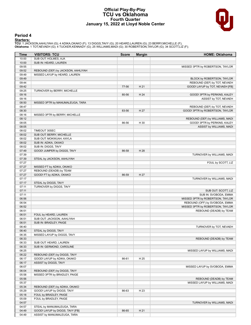### **Official Play-By-Play TCU vs Oklahoma Fourth Quarter January 15, 2022 at Lloyd Noble Center**



### **Period 4**

<mark>Starters:</mark><br>TCU: 1 JACKSON,AAHLIYAH (G); 4 ADIKA,OKAKO (F); 13 DIGGS,TAVY (G); 20 HEARD,LAUREN (G); 23 BERRY,MICHELLE (F);<br>**Oklahoma**: 1 TOT,NEVAEH (G); 4 TUCKER,KENNADY (G); 25 WILLIAMS,MADI (G); 30 ROBERTSON,TAYLOR (G);

| Time  | <b>VISITORS: TCU</b>               | <b>Score</b> | <b>Margin</b> | <b>HOME: Oklahoma</b>            |
|-------|------------------------------------|--------------|---------------|----------------------------------|
| 10:00 | SUB OUT: HOLMES, AJA               |              |               |                                  |
| 10:00 | SUB IN: HEARD, LAUREN              |              |               |                                  |
| 09:55 |                                    |              |               | MISSED 3PTR by ROBERTSON, TAYLOR |
| 09:52 | REBOUND (DEF) by JACKSON, AAHLIYAH |              |               |                                  |
| 09:49 | MISSED LAYUP by HEARD, LAUREN      |              |               |                                  |
| 09:49 |                                    |              |               | BLOCK by ROBERTSON, TAYLOR       |
| 09:44 |                                    |              |               | REBOUND (DEF) by TOT, NEVAEH     |
| 09:42 |                                    | 77-56        | H 21          | GOOD! LAYUP by TOT, NEVAEH [FB]  |
| 09:25 | TURNOVER by BERRY, MICHELLE        |              |               |                                  |
| 09:16 |                                    | 80-56        | H 24          | GOOD! 3PTR by PERKINS, KALEY     |
| 09:16 |                                    |              |               | ASSIST by TOT, NEVAEH            |
| 08:50 | MISSED 3PTR by MANUMALEUGA, TARA   |              |               |                                  |
| 08:47 |                                    |              |               | REBOUND (DEF) by TOT, NEVAEH     |
| 08:30 |                                    | 83-56        | H 27          | GOOD! 3PTR by ROBERTSON, TAYLOR  |
| 08:16 |                                    |              |               |                                  |
|       | MISSED 3PTR by BERRY, MICHELLE     |              |               |                                  |
| 08:12 |                                    |              |               | REBOUND (DEF) by WILLIAMS, MADI  |
| 08:05 |                                    | 86-56        | H 30          | GOOD! 3PTR by PERKINS, KALEY     |
| 08:05 |                                    |              |               | ASSIST by WILLIAMS, MADI         |
| 08:02 | <b>TIMEOUT 30SEC</b>               |              |               |                                  |
| 08:02 | SUB OUT: BERRY, MICHELLE           |              |               |                                  |
| 08:02 | SUB OUT: MOKWUAH, KAYLA            |              |               |                                  |
| 08:02 | SUB IN: ADIKA, OKAKO               |              |               |                                  |
| 08:02 | SUB IN: DIGGS, TAVY                |              |               |                                  |
| 07:49 | GOOD! JUMPER by DIGGS, TAVY        | 86-58        | H 28          |                                  |
| 07:39 |                                    |              |               | TURNOVER by WILLIAMS, MADI       |
| 07:39 | STEAL by JACKSON, AAHLIYAH         |              |               |                                  |
| 07:27 |                                    |              |               | FOUL by SCOTT, LIZ               |
| 07:27 | MISSED FT by ADIKA, OKAKO          |              |               |                                  |
| 07:27 | REBOUND (DEADB) by TEAM            |              |               |                                  |
| 07:27 | GOOD! FT by ADIKA, OKAKO           | 86-59        | H 27          |                                  |
| 07:17 |                                    |              |               | TURNOVER by WILLIAMS, MADI       |
| 07:17 | STEAL by DIGGS, TAVY               |              |               |                                  |
| 07:11 | TURNOVER by DIGGS, TAVY            |              |               |                                  |
| 07:11 |                                    |              |               | SUB OUT: SCOTT, LIZ              |
| 07:11 |                                    |              |               | SUB IN: SVOBODA, EMMA            |
| 06:56 |                                    |              |               | MISSED 3PTR by ROBERTSON, TAYLOR |
| 06:54 |                                    |              |               | REBOUND (OFF) by SVOBODA, EMMA   |
| 06:52 |                                    |              |               | MISSED 3PTR by ROBERTSON, TAYLOR |
| 06:51 |                                    |              |               | REBOUND (DEADB) by TEAM          |
| 06:51 | FOUL by HEARD, LAUREN              |              |               |                                  |
| 06:51 | SUB OUT: JACKSON, AAHLIYAH         |              |               |                                  |
| 06:51 | SUB IN: BRADLEY, PAIGE             |              |               |                                  |
| 06:40 |                                    |              |               | TURNOVER by TOT, NEVAEH          |
| 06:40 | STEAL by DIGGS, TAVY               |              |               |                                  |
| 06:35 | MISSED LAYUP by DIGGS, TAVY        |              |               |                                  |
| 06:33 |                                    |              |               | REBOUND (DEADB) by TEAM          |
| 06:33 | SUB OUT: HEARD, LAUREN             |              |               |                                  |
| 06:33 | SUB IN: GERMOND, CAROLINE          |              |               |                                  |
| 06:25 |                                    |              |               | MISSED LAYUP by WILLIAMS, MADI   |
| 06:22 | REBOUND (DEF) by DIGGS, TAVY       |              |               |                                  |
| 06:17 | GOOD! LAYUP by ADIKA, OKAKO        | 86-61        | H 25          |                                  |
| 06:17 | ASSIST by DIGGS, TAVY              |              |               |                                  |
| 06:07 |                                    |              |               |                                  |
|       |                                    |              |               | MISSED LAYUP by SVOBODA, EMMA    |
| 06:04 | REBOUND (DEF) by DIGGS, TAVY       |              |               |                                  |
| 05:58 | MISSED 3PTR by BRADLEY, PAIGE      |              |               |                                  |
| 05:56 |                                    |              |               | REBOUND (DEADB) by TEAM          |
| 05:37 |                                    |              |               | MISSED LAYUP by WILLIAMS, MADI   |
| 05:34 | REBOUND (DEF) by ADIKA, OKAKO      |              |               |                                  |
| 05:29 | GOOD! LAYUP by DIGGS, TAVY         | 86-63        | H 23          |                                  |
| 05:18 | FOUL by BRADLEY, PAIGE             |              |               |                                  |
| 05:09 | FOUL by BRADLEY, PAIGE             |              |               |                                  |
| 04:57 |                                    |              |               | TURNOVER by WILLIAMS, MADI       |
| 04:57 | STEAL by MANUMALEUGA, TARA         |              |               |                                  |
| 04:49 | GOOD! LAYUP by DIGGS, TAVY [FB]    | 86-65        | H 21          |                                  |
| 04:49 | ASSIST by MANUMALEUGA, TARA        |              |               |                                  |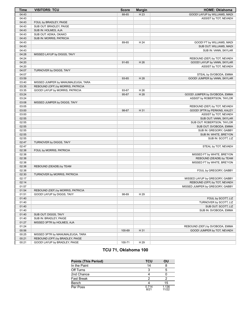| <b>Time</b> | <b>VISITORS: TCU</b>               | <b>Score</b> | <b>Margin</b> | <b>HOME: Oklahoma</b>           |
|-------------|------------------------------------|--------------|---------------|---------------------------------|
| 04:43       |                                    | 88-65        | H 23          | GOOD! LAYUP by WILLIAMS, MADI   |
| 04:43       |                                    |              |               | ASSIST by TOT, NEVAEH           |
| 04:43       | FOUL by BRADLEY, PAIGE             |              |               |                                 |
| 04:43       | SUB OUT: BRADLEY, PAIGE            |              |               |                                 |
| 04:43       | SUB IN: HOLMES, AJA                |              |               |                                 |
| 04:43       | SUB OUT: ADIKA, OKAKO              |              |               |                                 |
| 04:43       | SUB IN: MORRIS, PATRICIA           |              |               |                                 |
| 04:43       |                                    | 89-65        | H 24          | GOOD! FT by WILLIAMS, MADI      |
| 04:43       |                                    |              |               | SUB OUT: WILLIAMS, MADI         |
| 04:43       |                                    |              |               | SUB IN: VANN, SKYLAR            |
| 04:28       | MISSED LAYUP by DIGGS, TAVY        |              |               |                                 |
| 04:24       |                                    |              |               | REBOUND (DEF) by TOT, NEVAEH    |
| 04:20       |                                    | 91-65        | H 26          | GOOD! LAYUP by VANN, SKYLAR     |
| 04:20       |                                    |              |               | ASSIST by TOT, NEVAEH           |
| 04:07       | TURNOVER by DIGGS, TAVY            |              |               |                                 |
| 04:07       |                                    |              |               | STEAL by SVOBODA, EMMA          |
| 03:59       |                                    | 93-65        | H 28          | GOOD! JUMPER by VANN, SKYLAR    |
| 03:40       | MISSED JUMPER by MANUMALEUGA, TARA |              |               |                                 |
| 03:35       | REBOUND (OFF) by MORRIS, PATRICIA  |              |               |                                 |
| 03:35       | GOOD! LAYUP by MORRIS, PATRICIA    | 93-67        | H 26          |                                 |
| 03:24       |                                    | 95-67        | H 28          | GOOD! JUMPER by SVOBODA, EMMA   |
| 03:24       |                                    |              |               | ASSIST by ROBERTSON, TAYLOR     |
| 03:08       | MISSED JUMPER by DIGGS, TAVY       |              |               |                                 |
| 03:05       |                                    |              |               | REBOUND (DEF) by TOT, NEVAEH    |
| 03:00       |                                    | 98-67        | H 31          | GOOD! 3PTR by PERKINS, KALEY    |
| 03:00       |                                    |              |               | ASSIST by TOT, NEVAEH           |
| 02:55       |                                    |              |               | SUB OUT: VANN, SKYLAR           |
| 02:55       |                                    |              |               | SUB OUT: ROBERTSON, TAYLOR      |
| 02:55       |                                    |              |               | SUB OUT: SVOBODA, EMMA          |
| 02:55       |                                    |              |               | SUB IN: GREGORY, GABBY          |
| 02:55       |                                    |              |               | SUB IN: WHITE, BRE'YON          |
| 02:55       |                                    |              |               | SUB IN: SCOTT, LIZ              |
| 02:47       | TURNOVER by DIGGS, TAVY            |              |               |                                 |
| 02:47       |                                    |              |               | STEAL by TOT, NEVAEH            |
| 02:38       | FOUL by MORRIS, PATRICIA           |              |               |                                 |
| 02:38       |                                    |              |               | MISSED FT by WHITE, BRE'YON     |
| 02:38       |                                    |              |               | REBOUND (DEADB) by TEAM         |
| 02:38       |                                    |              |               | MISSED FT by WHITE, BRE'YON     |
| 02:38       | REBOUND (DEADB) by TEAM            |              |               |                                 |
| 02:38       |                                    |              |               | FOUL by GREGORY, GABBY          |
| 02:30       | TURNOVER by MORRIS, PATRICIA       |              |               |                                 |
| 02:17       |                                    |              |               | MISSED LAYUP by GREGORY, GABBY  |
| 02:14       |                                    |              |               | REBOUND (OFF) by TOT, NEVAEH    |
| 01:57       |                                    |              |               | MISSED JUMPER by GREGORY, GABBY |
| 01:54       | REBOUND (DEF) by MORRIS, PATRICIA  |              |               |                                 |
| 01:51       | GOOD! LAYUP by DIGGS, TAVY         | 98-69        | H 29          |                                 |
| 01:40       |                                    |              |               | FOUL by SCOTT, LIZ              |
| 01:40       |                                    |              |               | TURNOVER by SCOTT, LIZ          |
| 01:40       |                                    |              |               | SUB OUT: SCOTT, LIZ             |
| 01:40       |                                    |              |               | SUB IN: SVOBODA, EMMA           |
| 01:40       | SUB OUT: DIGGS, TAVY               |              |               |                                 |
| 01:40       | SUB IN: BRADLEY, PAIGE             |              |               |                                 |
| 01:27       | MISSED 3PTR by HOLMES, AJA         |              |               |                                 |
| 01:24       |                                    |              |               | REBOUND (DEF) by SVOBODA, EMMA  |
| 00:56       |                                    | 100-69       | H 31          | GOOD! JUMPER by TOT, NEVAEH     |
| 00:25       | MISSED 3PTR by MANUMALEUGA, TARA   |              |               |                                 |
| 00:21       | REBOUND (OFF) by BRADLEY, PAIGE    |              |               |                                 |
| 00:21       | GOOD! LAYUP by BRADLEY, PAIGE      | 100-71       | H 29          |                                 |

# **TCU 71, Oklahoma 100**

| <b>Points (This Period)</b> | <b>TCU</b>    | ΟU             |
|-----------------------------|---------------|----------------|
| In the Paint                | 14            |                |
| Off Turns                   | 3             |                |
| 2nd Chance                  |               |                |
| <b>Fast Break</b>           | 2             |                |
| Bench                       |               | 15             |
| Per Poss                    | 0.714<br>8/21 | 1.136<br>11/22 |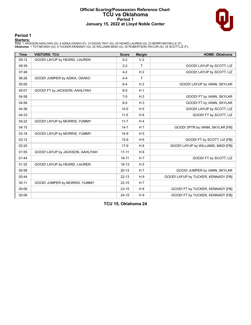### **Official Scoring/Possession Reference Chart TCU vs Oklahoma Period 1 January 15, 2022 at Lloyd Noble Center**



# **Period 1**

<mark>Starters:</mark><br>TCU: 1 JACKSON,AAHLIYAH (G); 4 ADIKA,OKAKO (F); 13 DIGGS,TAVY (G); 20 HEARD,LAUREN (G); 23 BERRY,MICHELLE (F);<br>**Oklahoma**: 1 TOT,NEVAEH (G); 4 TUCKER,KENNADY (G); 25 WILLIAMS,MADI (G); 30 ROBERTSON,TAYLOR (G);

| <b>Time</b> | <b>VISITORS: TCU</b>             | <b>Score</b> | <b>Margin</b>  | <b>HOME: Oklahoma</b>               |
|-------------|----------------------------------|--------------|----------------|-------------------------------------|
| 09:12       | GOOD! LAYUP by HEARD, LAUREN     | $0 - 2$      | V <sub>2</sub> |                                     |
| 08:39       |                                  | $2 - 2$      | $\mathsf{T}$   | GOOD! LAYUP by SCOTT, LIZ           |
| 07:48       |                                  | $4 - 2$      | H <sub>2</sub> | GOOD! LAYUP by SCOTT, LIZ           |
| 06:26       | GOOD! JUMPER by ADIKA, OKAKO     | $4 - 4$      | T              |                                     |
| 05:55       |                                  | $6 - 4$      | H <sub>2</sub> | GOOD! LAYUP by VANN, SKYLAR         |
| 05:07       | GOOD! FT by JACKSON, AAHLIYAH    | $6-5$        | H <sub>1</sub> |                                     |
| 04:58       |                                  | $7 - 5$      | H <sub>2</sub> | GOOD! FT by VANN, SKYLAR            |
| 04:58       |                                  | $8 - 5$      | $H_3$          | GOOD! FT by VANN, SKYLAR            |
| 04:36       |                                  | $10-5$       | H <sub>5</sub> | GOOD! LAYUP by SCOTT, LIZ           |
| 04:33       |                                  | $11-5$       | H <sub>6</sub> | GOOD! FT by SCOTT, LIZ              |
| 04:22       | GOOD! LAYUP by MORRIS, YUMMY     | $11 - 7$     | H <sub>4</sub> |                                     |
| 04:15       |                                  | $14 - 7$     | H <sub>7</sub> | GOOD! 3PTR by VANN, SKYLAR [FB]     |
| 03:18       | GOOD! LAYUP by MORRIS, YUMMY     | $14-9$       | H <sub>5</sub> |                                     |
| 03:12       |                                  | $15-9$       | H <sub>6</sub> | GOOD! FT by SCOTT, LIZ [FB]         |
| 02:20       |                                  | $17-9$       | H8             | GOOD! LAYUP by WILLIAMS, MADI [FB]  |
| 01:55       | GOOD! LAYUP by JACKSON, AAHLIYAH | $17 - 11$    | $H_6$          |                                     |
| 01:44       |                                  | $18 - 11$    | H <sub>7</sub> | GOOD! FT by SCOTT, LIZ              |
| 01:32       | GOOD! LAYUP by HEARD, LAUREN     | $18 - 13$    | H <sub>5</sub> |                                     |
| 00:58       |                                  | $20-13$      | H <sub>7</sub> | GOOD! JUMPER by VANN, SKYLAR        |
| 00:44       |                                  | $22 - 13$    | H9             | GOOD! LAYUP by TUCKER, KENNADY [FB] |
| 00:11       | GOOD! JUMPER by MORRIS, YUMMY    | $22 - 15$    | H <sub>7</sub> |                                     |
| 00:06       |                                  | $23 - 15$    | $H_8$          | GOOD! FT by TUCKER, KENNADY [FB]    |
| 00:06       |                                  | $24 - 15$    | H <sub>9</sub> | GOOD! FT by TUCKER, KENNADY [FB]    |

**TCU 15, Oklahoma 24**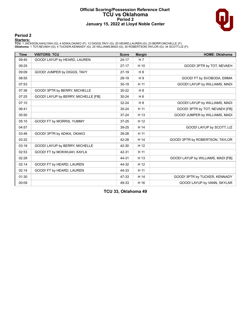### **Official Scoring/Possession Reference Chart TCU vs Oklahoma Period 2 January 15, 2022 at Lloyd Noble Center**



# **Period 2**

<mark>Starters:</mark><br>TCU: 1 JACKSON,AAHLIYAH (G); 4 ADIKA,OKAKO (F); 13 DIGGS,TAVY (G); 20 HEARD,LAUREN (G); 23 BERRY,MICHELLE (F);<br>**Oklahoma**: 1 TOT,NEVAEH (G); 4 TUCKER,KENNADY (G); 25 WILLIAMS,MADI (G); 30 ROBERTSON,TAYLOR (G);

| <b>Time</b> | <b>VISITORS: TCU</b>                | <b>Score</b> | <b>Margin</b>  | <b>HOME: Oklahoma</b>              |
|-------------|-------------------------------------|--------------|----------------|------------------------------------|
| 09:40       | GOOD! LAYUP by HEARD, LAUREN        | $24 - 17$    | H <sub>7</sub> |                                    |
| 09:25       |                                     | $27-17$      | H 10           | GOOD! 3PTR by TOT, NEVAEH          |
| 09:09       | GOOD! JUMPER by DIGGS, TAVY         | $27-19$      | H 8            |                                    |
| 08:55       |                                     | 28-19        | H <sub>9</sub> | GOOD! FT by SVOBODA, EMMA          |
| 07:53       |                                     | $30 - 19$    | H 11           | GOOD! LAYUP by WILLIAMS, MADI      |
| 07:36       | GOOD! 3PTR by BERRY, MICHELLE       | 30-22        | H 8            |                                    |
| 07:25       | GOOD! LAYUP by BERRY, MICHELLE [FB] | $30 - 24$    | H <sub>6</sub> |                                    |
| 07:10       |                                     | 32-24        | H 8            | GOOD! LAYUP by WILLIAMS, MADI      |
| 06:41       |                                     | $35 - 24$    | H 11           | GOOD! 3PTR by TOT, NEVAEH [FB]     |
| 05:50       |                                     | $37 - 24$    | H 13           | GOOD! JUMPER by WILLIAMS, MADI     |
| 05:10       | GOOD! FT by MORRIS, YUMMY           | $37 - 25$    | H 12           |                                    |
| 04:57       |                                     | 39-25        | H 14           | GOOD! LAYUP by SCOTT, LIZ          |
| 03:46       | GOOD! 3PTR by ADIKA, OKAKO          | 39-28        | H 11           |                                    |
| 03:32       |                                     | 42-28        | H 14           | GOOD! 3PTR by ROBERTSON, TAYLOR    |
| 03:18       | GOOD! LAYUP by BERRY, MICHELLE      | 42-30        | H 12           |                                    |
| 02:53       | GOOD! FT by MOKWUAH, KAYLA          | 42-31        | H 11           |                                    |
| 02:28       |                                     | 44-31        | H 13           | GOOD! LAYUP by WILLIAMS, MADI [FB] |
| 02:14       | GOOD! FT by HEARD, LAUREN           | 44-32        | H 12           |                                    |
| 02:14       | GOOD! FT by HEARD, LAUREN           | 44-33        | H 11           |                                    |
| 01:30       |                                     | 47-33        | H 14           | GOOD! 3PTR by TUCKER, KENNADY      |
| 00:09       |                                     | 49-33        | H 16           | GOOD! LAYUP by VANN, SKYLAR        |

**TCU 33, Oklahoma 49**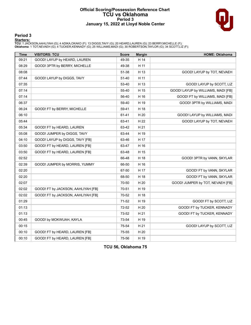### **Official Scoring/Possession Reference Chart TCU vs Oklahoma Period 3 January 15, 2022 at Lloyd Noble Center**



# **Period 3**

<mark>Starters:</mark><br>TCU: 1 JACKSON,AAHLIYAH (G); 4 ADIKA,OKAKO (F); 13 DIGGS,TAVY (G); 20 HEARD,LAUREN (G); 23 BERRY,MICHELLE (F);<br>**Oklahoma**: 1 TOT,NEVAEH (G); 4 TUCKER,KENNADY (G); 25 WILLIAMS,MADI (G); 30 ROBERTSON,TAYLOR (G);

| <b>Time</b> | <b>VISITORS: TCU</b>               | <b>Score</b> | <b>Margin</b> | <b>HOME: Oklahoma</b>              |
|-------------|------------------------------------|--------------|---------------|------------------------------------|
| 09:21       | GOOD! LAYUP by HEARD, LAUREN       | 49-35        | H 14          |                                    |
| 08:29       | GOOD! 3PTR by BERRY, MICHELLE      | 49-38        | H 11          |                                    |
| 08:08       |                                    | 51-38        | H 13          | GOOD! LAYUP by TOT, NEVAEH         |
| 07:44       | GOOD! LAYUP by DIGGS, TAVY         | 51-40        | H 11          |                                    |
| 07:35       |                                    | 53-40        | H 13          | GOOD! LAYUP by SCOTT, LIZ          |
| 07:14       |                                    | 55-40        | H 15          | GOOD! LAYUP by WILLIAMS, MADI [FB] |
| 07:14       |                                    | 56-40        | H 16          | GOOD! FT by WILLIAMS, MADI [FB]    |
| 06:37       |                                    | 59-40        | H 19          | GOOD! 3PTR by WILLIAMS, MADI       |
| 06:24       | GOOD! FT by BERRY, MICHELLE        | 59-41        | H 18          |                                    |
| 06:10       |                                    | 61-41        | H 20          | GOOD! LAYUP by WILLIAMS, MADI      |
| 05:44       |                                    | 63-41        | H 22          | GOOD! LAYUP by TOT, NEVAEH         |
| 05:34       | GOOD! FT by HEARD, LAUREN          | 63-42        | H 21          |                                    |
| 05:08       | GOOD! JUMPER by DIGGS, TAVY        | 63-44        | H 19          |                                    |
| 04:10       | GOOD! LAYUP by DIGGS, TAVY [FB]    | 63-46        | H 17          |                                    |
| 03:50       | GOOD! FT by HEARD, LAUREN [FB]     | 63-47        | H 16          |                                    |
| 03:50       | GOOD! FT by HEARD, LAUREN [FB]     | 63-48        | H 15          |                                    |
| 02:52       |                                    | 66-48        | H 18          | GOOD! 3PTR by VANN, SKYLAR         |
| 02:39       | GOOD! JUMPER by MORRIS, YUMMY      | 66-50        | H 16          |                                    |
| 02:20       |                                    | 67-50        | H 17          | GOOD! FT by VANN, SKYLAR           |
| 02:20       |                                    | 68-50        | H 18          | GOOD! FT by VANN, SKYLAR           |
| 02:07       |                                    | 70-50        | H 20          | GOOD! JUMPER by TOT, NEVAEH [FB]   |
| 02:02       | GOOD! FT by JACKSON, AAHLIYAH [FB] | 70-51        | H 19          |                                    |
| 02:02       | GOOD! FT by JACKSON, AAHLIYAH [FB] | 70-52        | H 18          |                                    |
| 01:29       |                                    | 71-52        | H 19          | GOOD! FT by SCOTT, LIZ             |
| 01:13       |                                    | 72-52        | H 20          | GOOD! FT by TUCKER, KENNADY        |
| 01:13       |                                    | 73-52        | H 21          | GOOD! FT by TUCKER, KENNADY        |
| 00:45       | GOOD! by MOKWUAH, KAYLA            | 73-54        | H 19          |                                    |
| 00:15       |                                    | 75-54        | H 21          | GOOD! LAYUP by SCOTT, LIZ          |
| 00:10       | GOOD! FT by HEARD, LAUREN [FB]     | 75-55        | H 20          |                                    |
| 00:10       | GOOD! FT by HEARD, LAUREN [FB]     | 75-56        | H 19          |                                    |

**TCU 56, Oklahoma 75**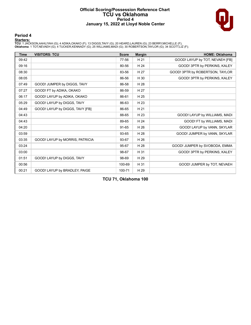#### **Official Scoring/Possession Reference Chart TCU vs Oklahoma Period 4 January 15, 2022 at Lloyd Noble Center**



# **Period 4**

<mark>Starters:</mark><br>TCU: 1 JACKSON,AAHLIYAH (G); 4 ADIKA,OKAKO (F); 13 DIGGS,TAVY (G); 20 HEARD,LAUREN (G); 23 BERRY,MICHELLE (F);<br>**Oklahoma**: 1 TOT,NEVAEH (G); 4 TUCKER,KENNADY (G); 25 WILLIAMS,MADI (G); 30 ROBERTSON,TAYLOR (G);

| <b>Time</b> | <b>VISITORS: TCU</b>            | <b>Score</b> | <b>Margin</b> | <b>HOME: Oklahoma</b>           |
|-------------|---------------------------------|--------------|---------------|---------------------------------|
| 09:42       |                                 | 77-56        | H 21          | GOOD! LAYUP by TOT, NEVAEH [FB] |
| 09:16       |                                 | 80-56        | H 24          | GOOD! 3PTR by PERKINS, KALEY    |
| 08:30       |                                 | 83-56        | H 27          | GOOD! 3PTR by ROBERTSON, TAYLOR |
| 08:05       |                                 | 86-56        | H 30          | GOOD! 3PTR by PERKINS, KALEY    |
| 07:49       | GOOD! JUMPER by DIGGS, TAVY     | 86-58        | H 28          |                                 |
| 07:27       | GOOD! FT by ADIKA, OKAKO        | 86-59        | H 27          |                                 |
| 06:17       | GOOD! LAYUP by ADIKA, OKAKO     | 86-61        | H 25          |                                 |
| 05:29       | GOOD! LAYUP by DIGGS, TAVY      | 86-63        | H 23          |                                 |
| 04:49       | GOOD! LAYUP by DIGGS, TAVY [FB] | 86-65        | H 21          |                                 |
| 04:43       |                                 | 88-65        | H 23          | GOOD! LAYUP by WILLIAMS, MADI   |
| 04:43       |                                 | 89-65        | H 24          | GOOD! FT by WILLIAMS, MADI      |
| 04:20       |                                 | 91-65        | H 26          | GOOD! LAYUP by VANN, SKYLAR     |
| 03:59       |                                 | 93-65        | H 28          | GOOD! JUMPER by VANN, SKYLAR    |
| 03:35       | GOOD! LAYUP by MORRIS, PATRICIA | 93-67        | H 26          |                                 |
| 03:24       |                                 | 95-67        | H 28          | GOOD! JUMPER by SVOBODA, EMMA   |
| 03:00       |                                 | 98-67        | H 31          | GOOD! 3PTR by PERKINS, KALEY    |
| 01:51       | GOOD! LAYUP by DIGGS, TAVY      | 98-69        | H 29          |                                 |
| 00:56       |                                 | 100-69       | H 31          | GOOD! JUMPER by TOT, NEVAEH     |
| 00:21       | GOOD! LAYUP by BRADLEY, PAIGE   | 100-71       | H 29          |                                 |

**TCU 71, Oklahoma 100**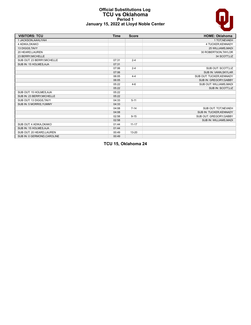### **Official Substitutions Log TCU vs Oklahoma Period 1 January 15, 2022 at Lloyd Noble Center**



| <b>VISITORS: TCU</b>        | <b>Time</b> | <b>Score</b> | <b>HOME: Oklahoma</b>    |
|-----------------------------|-------------|--------------|--------------------------|
| 1 JACKSON, AAHLIYAH         |             |              | 1 TOT, NEVAEH            |
| 4 ADIKA, OKAKO              |             |              | 4 TUCKER, KENNADY        |
| 13 DIGGS, TAVY              |             |              | 25 WILLIAMS, MADI        |
| 20 HEARD, LAUREN            |             |              | 30 ROBERTSON, TAYLOR     |
| 23 BERRY, MICHELLE          |             |              | 34 SCOTT, LIZ            |
| SUB OUT: 23 BERRY, MICHELLE | 07:31       | $2 - 4$      |                          |
| SUB IN: 15 HOLMES, AJA      | 07:31       |              |                          |
|                             | 07:06       | $2 - 4$      | SUB OUT: SCOTT,LIZ       |
|                             | 07:06       |              | SUB IN: VANN, SKYLAR     |
|                             | 06:05       | $4 - 4$      | SUB OUT: TUCKER, KENNADY |
|                             | 06:05       |              | SUB IN: GREGORY, GABBY   |
|                             | 05:22       | $4-6$        | SUB OUT: WILLIAMS, MADI  |
|                             | 05:22       |              | SUB IN: SCOTT,LIZ        |
| SUB OUT: 15 HOLMES, AJA     | 05:22       |              |                          |
| SUB IN: 23 BERRY, MICHELLE  | 05:22       |              |                          |
| SUB OUT: 13 DIGGS, TAVY     | 04:33       | $5 - 11$     |                          |
| SUB IN: 5 MORRIS, YUMMY     | 04:33       |              |                          |
|                             | 04:08       | $7 - 14$     | SUB OUT: TOT, NEVAEH     |
|                             | 04:08       |              | SUB IN: TUCKER, KENNADY  |
|                             | 02:58       | $9 - 15$     | SUB OUT: GREGORY, GABBY  |
|                             | 02:58       |              | SUB IN: WILLIAMS, MADI   |
| SUB OUT: 4 ADIKA, OKAKO     | 01:44       | $11 - 17$    |                          |
| SUB IN: 15 HOLMES, AJA      | 01:44       |              |                          |
| SUB OUT: 20 HEARD, LAUREN   | 00:49       | $13 - 20$    |                          |
| SUB IN: 0 GERMOND, CAROLINE | 00:49       |              |                          |

**TCU 15, Oklahoma 24**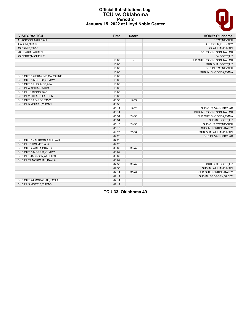### **Official Substitutions Log TCU vs Oklahoma Period 2 January 15, 2022 at Lloyd Noble Center**

| <b>VISITORS: TCU</b>         | <b>Time</b> | <b>Score</b>             | <b>HOME: Oklahoma</b>      |
|------------------------------|-------------|--------------------------|----------------------------|
| 1 JACKSON, AAHLIYAH          |             |                          | 1 TOT, NEVAEH              |
| 4 ADIKA, OKAKO               |             |                          | 4 TUCKER, KENNADY          |
| 13 DIGGS, TAVY               |             |                          | 25 WILLIAMS, MADI          |
| 20 HEARD, LAUREN             |             |                          | 30 ROBERTSON, TAYLOR       |
| 23 BERRY, MICHELLE           |             |                          | 34 SCOTT,LIZ               |
|                              | 10:00       | $\overline{\phantom{a}}$ | SUB OUT: ROBERTSON, TAYLOR |
|                              | 10:00       |                          | SUB OUT: SCOTT, LIZ        |
|                              | 10:00       |                          | SUB IN: TOT, NEVAEH        |
|                              | 10:00       |                          | SUB IN: SVOBODA, EMMA      |
| SUB OUT: 0 GERMOND, CAROLINE | 10:00       |                          |                            |
| SUB OUT: 5 MORRIS, YUMMY     | 10:00       |                          |                            |
| SUB OUT: 15 HOLMES, AJA      | 10:00       |                          |                            |
| SUB IN: 4 ADIKA, OKAKO       | 10:00       |                          |                            |
| SUB IN: 13 DIGGS, TAVY       | 10:00       |                          |                            |
| SUB IN: 20 HEARD, LAUREN     | 10:00       |                          |                            |
| SUB OUT: 13 DIGGS, TAVY      | 08:55       | 19-27                    |                            |
| SUB IN: 5 MORRIS, YUMMY      | 08:55       |                          |                            |
|                              | 08:14       | 19-28                    | SUB OUT: VANN, SKYLAR      |
|                              | 08:14       |                          | SUB IN: ROBERTSON, TAYLOR  |
|                              | 06:34       | 24-35                    | SUB OUT: SVOBODA, EMMA     |
|                              | 06:34       |                          | SUB IN: SCOTT,LIZ          |
|                              | 06:10       | 24-35                    | SUB OUT: TOT, NEVAEH       |
|                              | 06:10       |                          | SUB IN: PERKINS, KALEY     |
|                              | 04:26       | 25-39                    | SUB OUT: WILLIAMS, MADI    |
|                              | 04:26       |                          | SUB IN: VANN, SKYLAR       |
| SUB OUT: 1 JACKSON, AAHLIYAH | 04:26       |                          |                            |
| SUB IN: 15 HOLMES, AJA       | 04:26       |                          |                            |
| SUB OUT: 4 ADIKA, OKAKO      | 03:09       | $30 - 42$                |                            |
| SUB OUT: 5 MORRIS, YUMMY     | 03:09       |                          |                            |
| SUB IN: 1 JACKSON, AAHLIYAH  | 03:09       |                          |                            |
| SUB IN: 24 MOKWUAH, KAYLA    | 03:09       |                          |                            |
|                              | 02:53       | $30 - 42$                | SUB OUT: SCOTT,LIZ         |
|                              | 02:53       |                          | SUB IN: WILLIAMS, MADI     |
|                              | 02:14       | $31 - 44$                | SUB OUT: PERKINS, KALEY    |
|                              | 02:14       |                          | SUB IN: GREGORY, GABBY     |
| SUB OUT: 24 MOKWUAH, KAYLA   | 02:14       |                          |                            |
| SUB IN: 5 MORRIS, YUMMY      | 02:14       |                          |                            |

**TCU 33, Oklahoma 49**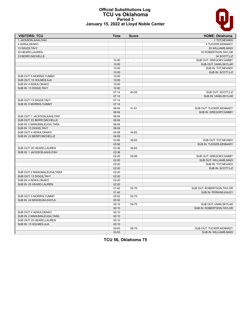

### **Official Substitutions Log TCU vs Oklahoma Period 3 January 15, 2022 at Lloyd Noble Center**

| <b>VISITORS: TCU</b>         | <b>Time</b> | <b>Score</b>   | <b>HOME: Oklahoma</b>      |
|------------------------------|-------------|----------------|----------------------------|
| 1 JACKSON, AAHLIYAH          |             |                | 1 TOT, NEVAEH              |
| 4 ADIKA, OKAKO               |             |                | 4 TUCKER, KENNADY          |
| 13 DIGGS, TAVY               |             |                | 25 WILLIAMS, MADI          |
| 20 HEARD, LAUREN             |             |                | 30 ROBERTSON, TAYLOR       |
| 23 BERRY, MICHELLE           |             |                | 34 SCOTT, LIZ              |
|                              | 10:00       | $\overline{a}$ | SUB OUT: GREGORY, GABBY    |
|                              | 10:00       |                | SUB OUT: VANN, SKYLAR      |
|                              | 10:00       |                | SUB IN: TOT, NEVAEH        |
|                              | 10:00       |                | SUB IN: SCOTT,LIZ          |
| SUB OUT: 5 MORRIS, YUMMY     | 10:00       |                |                            |
| SUB OUT: 15 HOLMES, AJA      | 10:00       |                |                            |
| SUB IN: 4 ADIKA, OKAKO       | 10:00       |                |                            |
| SUB IN: 13 DIGGS, TAVY       | 10:00       |                |                            |
|                              | 07:14       | 40-55          | SUB OUT: SCOTT,LIZ         |
|                              | 07:14       |                | SUB IN: VANN, SKYLAR       |
| SUB OUT: 13 DIGGS, TAVY      | 07:14       |                |                            |
| SUB IN: 5 MORRIS, YUMMY      | 07:14       |                |                            |
|                              | 06:04       | $41 - 61$      | SUB OUT: TUCKER, KENNADY   |
|                              | 06:04       |                | SUB IN: GREGORY, GABBY     |
| SUB OUT: 1 JACKSON, AAHLIYAH | 06:04       |                |                            |
| SUB OUT: 23 BERRY, MICHELLE  | 06:04       |                |                            |
| SUB IN: 2 MANUMALEUGA, TARA  | 06:04       |                |                            |
| SUB IN: 13 DIGGS, TAVY       | 06:04       |                |                            |
| SUB OUT: 4 ADIKA, OKAKO      | 04:59       | 44-63          |                            |
| SUB IN: 23 BERRY, MICHELLE   | 04:59       |                |                            |
|                              | 03:56       | 46-63          | SUB OUT: TOT, NEVAEH       |
|                              | 03:56       |                | SUB IN: TUCKER, KENNADY    |
| SUB OUT: 20 HEARD, LAUREN    | 03:36       | 48-63          |                            |
| SUB IN: 1 JACKSON, AAHLIYAH  | 03:36       |                |                            |
|                              | 02:20       | 50-66          | SUB OUT: GREGORY, GABBY    |
|                              | 02:20       |                | SUB OUT: WILLIAMS, MADI    |
|                              | 02:20       |                | SUB IN: TOT, NEVAEH        |
|                              | 02:20       |                | SUB IN: SCOTT,LIZ          |
| SUB OUT: 2 MANUMALEUGA.TARA  | 02:20       |                |                            |
| SUB OUT: 13 DIGGS, TAVY      | 02:20       |                |                            |
| SUB IN: 4 ADIKA, OKAKO       | 02:20       |                |                            |
| SUB IN: 20 HEARD, LAUREN     | 02:20       |                |                            |
|                              | 01:42       | 52-70          | SUB OUT: ROBERTSON, TAYLOR |
|                              | 01:42       |                | SUB IN: PERKINS, KALEY     |
| SUB OUT: 5 MORRIS, YUMMY     | 00:52       | 52-73          |                            |
| SUB IN: 24 MOKWUAH.KAYLA     | 00:52       |                |                            |
|                              | 00:10       | 54-75          | SUB OUT: VANN, SKYLAR      |
|                              | 00:10       |                | SUB IN: ROBERTSON, TAYLOR  |
| SUB OUT: 4 ADIKA, OKAKO      | 00:10       |                |                            |
| SUB IN: 2 MANUMALEUGA, TARA  | 00:10       |                |                            |
| SUB OUT: 20 HEARD, LAUREN    | 00:10       |                |                            |
| SUB IN: 15 HOLMES.AJA        | 00:10       |                |                            |
|                              | 00:03       | 56-75          |                            |
|                              |             |                | SUB OUT: TUCKER, KENNADY   |
|                              | 00:03       |                | SUB IN: WILLIAMS, MADI     |

**TCU 56, Oklahoma 75**